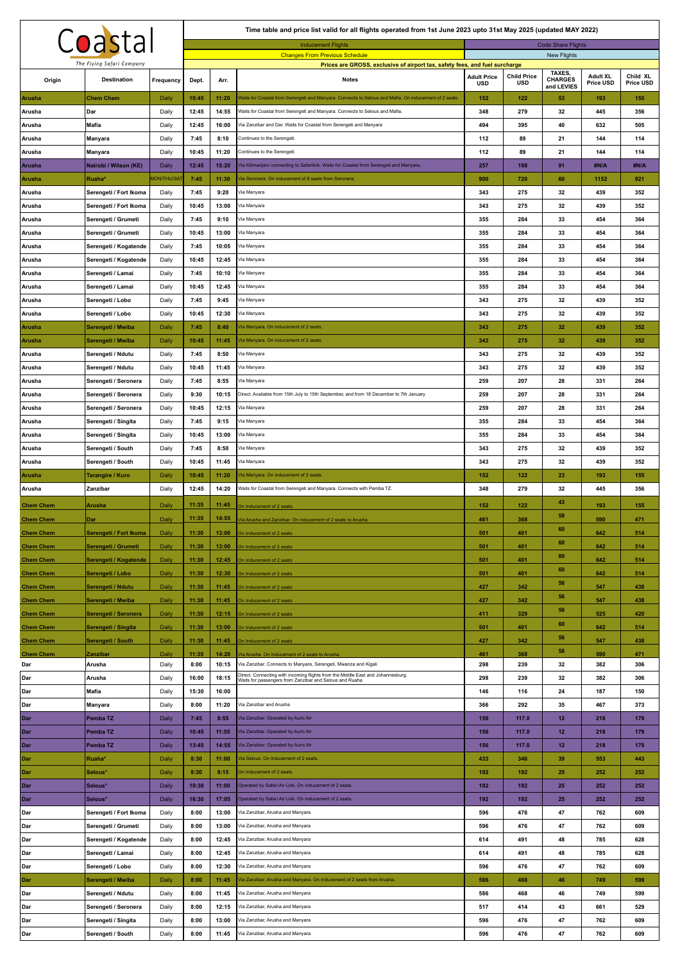|                                      |                                                  |                    |                |                                                        | Time table and price list valid for all flights operated from 1st June 2023 upto 31st May 2025 (updated MAY 2022)                          |                    |                    |                              |                 |            |  |  |
|--------------------------------------|--------------------------------------------------|--------------------|----------------|--------------------------------------------------------|--------------------------------------------------------------------------------------------------------------------------------------------|--------------------|--------------------|------------------------------|-----------------|------------|--|--|
|                                      | Coastal                                          |                    |                | <b>Code Share Flights</b><br><b>Inducement Flights</b> |                                                                                                                                            |                    |                    |                              |                 |            |  |  |
|                                      | The Flying Safari Company                        |                    |                |                                                        | <b>Changes From Previous Schedule</b>                                                                                                      |                    |                    | New Flights                  |                 |            |  |  |
|                                      |                                                  |                    |                |                                                        | Prices are GROSS, exclusive of airport tax, safety fees, and fuel surcharge                                                                | <b>Adult Price</b> | <b>Child Price</b> | <b>TAXES</b>                 | <b>Adult XL</b> | Child XL   |  |  |
| Origin                               | <b>Destination</b>                               | Frequency          | Dept.          | Arr.                                                   | <b>Notes</b>                                                                                                                               | <b>USD</b>         | <b>USD</b>         | <b>CHARGES</b><br>and LEVIES | Price USD       | Price USD  |  |  |
| Arusha                               | <b>Chem Chem</b>                                 | Daily              | 10:45          | 11:20                                                  | Waits for Coastal from Serengeti and Manyara. Connects to Selous and Mafia. On inducement of 2 seats                                       | 152                | 122                | 53                           | 193             | 155        |  |  |
| Arusha                               | Dar                                              | Daily              | 12:45          | 14:55                                                  | Waits for Coastal from Serengeti and Manyara. Connects to Selous and Mafia.                                                                | 348                | 279                | 32                           | 445             | 356        |  |  |
| Arusha                               | Mafia                                            | Daily              | 12:45          | 16:00                                                  | Via Zanzibar and Dar. Waits for Coastal from Serengeti and Manyara                                                                         | 494                | 395                | 40                           | 632             | 505        |  |  |
| Arusha                               | Manyara                                          | Daily              | 7:45           | 8:10                                                   | Continues to the Serengeti.                                                                                                                | 112                | 89                 | 21                           | 144             | 114        |  |  |
| Arusha                               | Manyara                                          | Daily              | 10:45          | 11:20                                                  | Continues to the Serengeti.                                                                                                                | 112                | 89                 | 21                           | 144             | 114        |  |  |
| Arusha                               | Nairobi / Wilson (KE)                            | Daily              | 12:45          | 15:20                                                  | Via Kilimanjaro connecting to Safarilink. Waits for Coastal from Serengeti and Manyara.                                                    | 257                | 198                | 91                           | #N/A            | #N/A       |  |  |
| Arusha                               | Ruaha*                                           | <b>MON/THU/SAT</b> | 7:45<br>7:45   | 11:30<br>9:20                                          | Via Seronera. On inducement of 6 seats from Seronera.<br>Via Manyara                                                                       | 900<br>343         | 720<br>275         | 60<br>32                     | 1152<br>439     | 921<br>352 |  |  |
| Arusha<br>Arusha                     | Serengeti / Fort Ikoma<br>Serengeti / Fort Ikoma | Daily<br>Daily     | 10:45          | 13:00                                                  | Via Manyara                                                                                                                                | 343                | 275                | 32                           | 439             | 352        |  |  |
| Arusha                               | Serengeti / Grumeti                              | Daily              | 7:45           | 9:10                                                   | Via Manyara                                                                                                                                | 355                | 284                | 33                           | 454             | 364        |  |  |
| Arusha                               | Serengeti / Grumeti                              | Daily              | 10:45          | 13:00                                                  | Via Manyara                                                                                                                                | 355                | 284                | 33                           | 454             | 364        |  |  |
| Arusha                               | Serengeti / Kogatende                            | Daily              | 7:45           | 10:05                                                  | Via Manyara                                                                                                                                | 355                | 284                | 33                           | 454             | 364        |  |  |
| Arusha                               | Serengeti / Kogatende                            | Daily              | 10:45          | 12:45                                                  | Via Manyara                                                                                                                                | 355                | 284                | 33                           | 454             | 364        |  |  |
| Arusha                               | Serengeti / Lamai                                | Daily              | 7:45           | 10:10                                                  | Via Manyara                                                                                                                                | 355                | 284                | 33                           | 454             | 364        |  |  |
| Arusha                               | Serengeti / Lamai                                | Daily              | 10:45          | 12:45                                                  | Via Manyara                                                                                                                                | 355                | 284                | 33                           | 454             | 364        |  |  |
| Arusha                               | Serengeti / Lobo                                 | Daily              | 7:45           | 9:45                                                   | Via Manyara                                                                                                                                | 343                | 275                | 32                           | 439             | 352        |  |  |
| Arusha                               | Serengeti / Lobo                                 | Daily              | 10:45          | 12:30                                                  | Via Manyara                                                                                                                                | 343                | 275                | 32                           | 439             | 352        |  |  |
| <b>Arusha</b>                        | Serengeti / Mwiba                                | Daily              | 7:45           | 8:40                                                   | Via Manyara. On inducement of 2 seats.                                                                                                     | 343                | 275                | 32                           | 439             | 352        |  |  |
| Arusha                               | Serengeti / Mwiba                                | Daily              | 10:45          | 11:45                                                  | Via Manyara. On inducement of 2 seats.                                                                                                     | 343                | 275                | 32                           | 439             | 352        |  |  |
| Arusha                               | Serengeti / Ndutu                                | Daily              | 7:45           | 8:50                                                   | Via Manyara                                                                                                                                | 343                | 275                | 32                           | 439             | 352        |  |  |
| Arusha                               | Serengeti / Ndutu                                | Daily              | 10:45          | 11:45                                                  | Via Manyara                                                                                                                                | 343                | 275                | 32                           | 439             | 352        |  |  |
| Arusha                               | Serengeti / Seronera                             | Daily              | 7:45           | 8:55                                                   | Via Manyara                                                                                                                                | 259<br>259         | 207<br>207         | 28<br>28                     | 331<br>331      | 264<br>264 |  |  |
| Arusha<br>Arusha                     | Serengeti / Seronera<br>Serengeti / Seronera     | Daily<br>Daily     | 9:30<br>10:45  | 10:15<br>12:15                                         | Direct. Available from 15th July to 15th September, and from 18 December to 7th January<br>Via Manyara                                     | 259                | 207                | 28                           | 331             | 264        |  |  |
| Arusha                               | Serengeti / Singita                              | Daily              | 7:45           | 9:15                                                   | Via Manyara                                                                                                                                | 355                | 284                | 33                           | 454             | 364        |  |  |
| Arusha                               | Serengeti / Singita                              | Daily              | 10:45          | 13:00                                                  | Via Manyara                                                                                                                                | 355                | 284                | 33                           | 454             | 364        |  |  |
| Arusha                               | Serengeti / South                                | Daily              | 7:45           | 8:50                                                   | Via Manyara                                                                                                                                | 343                | 275                | 32                           | 439             | 352        |  |  |
| Arusha                               | Serengeti / South                                | Daily              | 10:45          | 11:45                                                  | Via Manyara                                                                                                                                | 343                | 275                | 32                           | 439             | 352        |  |  |
| Arusha                               | Tarangire / Kuro                                 | Daily              | 10:45          | 11:20                                                  | Via Manyara. On inducement of 2 seats.                                                                                                     | 152                | 122                | 23                           | 193             | 155        |  |  |
|                                      |                                                  |                    |                |                                                        |                                                                                                                                            |                    |                    |                              |                 |            |  |  |
| Arusha                               | Zanzibar                                         | Daily              | 12:45          | 14:20                                                  | Waits for Coastal from Serengeti and Manyara. Connects with Pemba TZ.                                                                      | 348                | 279                | 32                           | 445             | 356        |  |  |
| <b>Chem Chem</b>                     | Arusha                                           | Daily              | 11:35          | 11:45                                                  | On Inducement of 2 seats                                                                                                                   | 152                | 122                | 43                           | 193             | 155        |  |  |
| <b>Chem Chem</b>                     | Dar                                              | Daily              | 11:35          | 14:55                                                  | Via Arusha and Zanzibar. On inducement of 2 seats to Arusha.                                                                               | 461                | 368                | 58                           | 590             | 471        |  |  |
| <b>Chem Chem</b>                     | Serengeti / Fort Ikoma                           | Daily              | 11:30          | 13:00                                                  | On Inducement of 2 seats                                                                                                                   | 501                | 401                | 60                           | 642             | 514        |  |  |
| <b>Chem Chem</b>                     | Serengeti / Grumeti                              | Daily              | 11:30          | 13:00                                                  | On Inducement of 2 seats                                                                                                                   | 501                | 401                | 60                           | 642             | 514        |  |  |
| <b>Chem Chem</b>                     | Serengeti / Kogatende                            | Daily              | 11:30          | 12:45                                                  | On Inducement of 2 seats                                                                                                                   | 501                | 401                | 60                           | 642             | 514        |  |  |
| <b>Chem Chem</b>                     | Serengeti / Lobo                                 | Daily              | 11:30          | 12:30                                                  | On Inducement of 2 seats                                                                                                                   | 501                | 401                | 60                           | 642             | 514        |  |  |
| <b>Chem Chem</b>                     | Serengeti / Ndutu                                | Daily              | 11:30          | 11:45                                                  | On Inducement of 2 seats                                                                                                                   | 427                | 342                | 56                           | 547             | 438        |  |  |
| <b>Chem Chem</b>                     | Serengeti / Mwiba                                | Daily              | 11:30          | 11:45                                                  | On Inducement of 2 seats                                                                                                                   | 427                | 342                | 56<br>56                     | 547             | 438        |  |  |
| <b>Chem Chem</b>                     | Serengeti / Seronera                             | Daily              | 11:30          | 12:15                                                  | On Inducement of 2 seats                                                                                                                   | 411                | 329                | 60                           | 525             | 420        |  |  |
| <b>Chem Chem</b>                     | Serengeti / Singita                              | Daily              | 11:30          | 13:00                                                  | On Inducement of 2 seats                                                                                                                   | 501                | 401                | 56                           | 642             | 514        |  |  |
| <b>Chem Chem</b><br><b>Chem Chem</b> | Serengeti / South<br>Zanzibar                    | Daily<br>Daily     | 11:30<br>11:35 | 11:45<br>14:20                                         | On Inducement of 2 seats<br>Tia Arusha. On Inducement of 2 seats to Arusha                                                                 | 427<br>461         | 342<br>368         | 58                           | 547<br>590      | 438<br>471 |  |  |
| Dar                                  | Arusha                                           | Daily              | 8:00           | 10:15                                                  | Via Zanzibar. Connects to Manyara, Serengeti, Mwanza and Kigali                                                                            | 298                | 239                | 32                           | 382             | 306        |  |  |
| Dar                                  | Arusha                                           | Daily              | 16:00          | 18:15                                                  | Direct. Connecting with incoming flights from the Middle East and Johannesburg.<br>Waits for passengers from Zanzibar and Selous and Ruaha | 298                | 239                | 32                           | 382             | 306        |  |  |
| Dar                                  | Mafia                                            | Daily              | 15:30          | 16:00                                                  |                                                                                                                                            | 146                | 116                | 24                           | 187             | 150        |  |  |
| Dar                                  | Manyara                                          | Daily              | 8:00           | 11:20                                                  | Via Zanzibar and Arusha                                                                                                                    | 366                | 292                | 35                           | 467             | 373        |  |  |
| Dar                                  | Pemba TZ                                         | Daily              | 7:45           | 8:55                                                   | Via Zanzibar. Operated by Auric Air                                                                                                        | 156                | 117.0              | 12                           | 218             | 179        |  |  |
| Dar                                  | Pemba TZ                                         | Daily              | 10:45          | 11:55                                                  | Via Zanzibar. Operated by Auric Air                                                                                                        | 156                | 117.0              | 12                           | 218             | 179        |  |  |
| Dar                                  | Pemba <sub>TZ</sub>                              | Daily              | 13:45          | 14:55                                                  | Via Zanzibar. Operated by Auric Air                                                                                                        | 156                | 117.0              | 12                           | 218             | 179        |  |  |
| Dar                                  | Ruaha*                                           | Daily              | 8:30           | 11:00                                                  | Via Selous. On inducement of 2 seats.<br>On inducement of 2 seats.                                                                         | 433                | 346                | 39                           | 553             | 443        |  |  |
| Dar<br>Dar                           | Selous*<br>Selous*                               | Daily<br>Daily     | 8:30<br>10:30  | 9:15<br>11:00                                          | Operated by Safari Air Link. On inducement of 2 seats.                                                                                     | 192<br>192         | 192<br>192         | 25<br>25                     | 252<br>252      | 252<br>252 |  |  |
| Dar                                  | Selous*                                          | Daily              | 16:30          | 17:05                                                  | Operated by Safari Air Link. On inducement of 2 seats.                                                                                     | 192                | 192                | 25                           | 252             | 252        |  |  |
| Dar                                  | Serengeti / Fort Ikoma                           | Daily              | 8:00           | 13:00                                                  | Via Zanzibar, Arusha and Manyara                                                                                                           | 596                | 476                | 47                           | 762             | 609        |  |  |
| Dar                                  | Serengeti / Grumeti                              | Daily              | 8:00           | 13:00                                                  | Via Zanzibar, Arusha and Manyara                                                                                                           | 596                | 476                | 47                           | 762             | 609        |  |  |
| Dar                                  | Serengeti / Kogatende                            | Daily              | 8:00           | 12:45                                                  | Via Zanzibar, Arusha and Manyara                                                                                                           | 614                | 491                | 48                           | 785             | 628        |  |  |
| Dar                                  | Serengeti / Lamai                                | Daily              | 8:00           | 12:45                                                  | Via Zanzibar, Arusha and Manyara                                                                                                           | 614                | 491                | 48                           | 785             | 628        |  |  |
| Dar                                  | Serengeti / Lobo                                 | Daily              | 8:00           | 12:30                                                  | Via Zanzibar, Arusha and Manyara                                                                                                           | 596                | 476                | 47                           | 762             | 609        |  |  |
| Dar                                  | Serengeti / Mwiba                                | Daily              | 8:00           | 11:45                                                  | Via Zanzibar, Arusha and Manyara. On inducement of 2 seats from Arusha.                                                                    | 586                | 468                | 46                           | 749             | 599        |  |  |
| Dar                                  | Serengeti / Ndutu                                | Daily              | 8:00           | 11:45                                                  | Via Zanzibar, Arusha and Manyara                                                                                                           | 586                | 468                | 46                           | 749             | 599        |  |  |
| Dar<br>Dar                           | Serengeti / Seronera<br>Serengeti / Singita      | Daily<br>Daily     | 8:00<br>8:00   | 12:15<br>13:00                                         | Via Zanzibar, Arusha and Manyara<br>Via Zanzibar, Arusha and Manyara                                                                       | 517<br>596         | 414<br>476         | 43<br>47                     | 661<br>762      | 529<br>609 |  |  |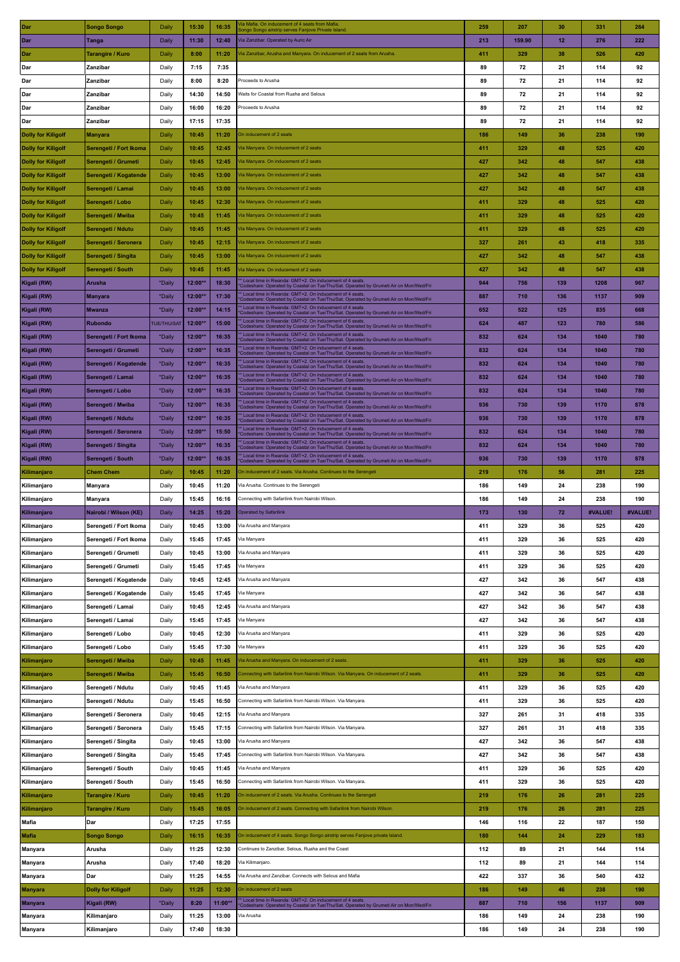| Dar                       | Songo Songo               | Daily              | 15:30     | 16:35   | /ia Mafia. On inducement of 4 seats from Mafia.<br>longo Songo airstrip serves Fanjove Private Island                                             | 259 | 207    | 30  | 331     | 264     |
|---------------------------|---------------------------|--------------------|-----------|---------|---------------------------------------------------------------------------------------------------------------------------------------------------|-----|--------|-----|---------|---------|
| Dar                       | Tanga                     | Daily              | 11:30     | 12:40   | Via Zanzibar. Operated by Auric Air                                                                                                               | 213 | 159.90 | 12  | 276     | 222     |
| Dar                       | Tarangire / Kuro          | Daily              | 8:00      | 11:20   | √ia Zanzibar, Arusha and Manyara. On inducement of 2 seats from Arusha.                                                                           | 411 | 329    | 38  | 526     | 420     |
|                           |                           |                    |           |         |                                                                                                                                                   |     |        |     |         |         |
| Dar                       | Zanzibar                  | Daily              | 7:15      | 7:35    |                                                                                                                                                   | 89  | 72     | 21  | 114     | 92      |
| Dar                       | Zanzibar                  | Daily              | 8:00      | 8:20    | Proceeds to Arusha                                                                                                                                | 89  | 72     | 21  | 114     | 92      |
| Dar                       | Zanzibar                  | Daily              | 14:30     | 14:50   | Waits for Coastal from Ruaha and Selous                                                                                                           | 89  | 72     | 21  | 114     | 92      |
| Dar                       | Zanzibar                  | Daily              | 16:00     | 16:20   | Proceeds to Arusha                                                                                                                                | 89  | 72     | 21  | 114     | 92      |
| Dar                       | Zanzibar                  | Daily              | 17:15     | 17:35   |                                                                                                                                                   | 89  | 72     | 21  | 114     | 92      |
| <b>Dolly for Kiligolf</b> | <b>Manyara</b>            | Daily              | 10:45     | 11:20   | On inducement of 2 seats                                                                                                                          | 186 | 149    | 36  | 238     | 190     |
| Dolly for Kiligolf        | Serengeti / Fort Ikoma    | Daily              | 10:45     | 12:45   | /ia Manyara. On inducement of 2 seats                                                                                                             | 411 | 329    | 48  | 525     | 420     |
| <b>Dolly for Kiligolf</b> | Serengeti / Grumeti       | Daily              | 10:45     | 12:45   | /ia Manyara. On inducement of 2 seats                                                                                                             | 427 | 342    | 48  | 547     | 438     |
|                           |                           | Daily              | 10:45     | 13:00   | Via Manyara. On inducement of 2 seats                                                                                                             | 427 | 342    | 48  | 547     | 438     |
| Dolly for Kiligolf        | Serengeti / Kogatende     |                    |           |         |                                                                                                                                                   |     |        |     |         |         |
| Dolly for Kiligolf        | Serengeti / Lamai         | Daily              | 10:45     | 13:00   | Via Manyara. On inducement of 2 seats                                                                                                             | 427 | 342    | 48  | 547     | 438     |
| <b>Dolly for Kiligolf</b> | Serengeti / Lobo          | Daily              | 10:45     | 12:30   | Via Manyara. On inducement of 2 seats                                                                                                             | 411 | 329    | 48  | 525     | 420     |
| <b>Dolly for Kiligolf</b> | Serengeti / Mwiba         | Daily              | 10:45     | 11:45   | Via Manyara. On inducement of 2 seats                                                                                                             | 411 | 329    | 48  | 525     | 420     |
| <b>Dolly for Kiligolf</b> | Serengeti / Ndutu         | Daily              | 10:45     | 11:45   | /ia Manyara. On inducement of 2 seats                                                                                                             | 411 | 329    | 48  | 525     | 420     |
| <b>Dolly for Kiligolf</b> | Serengeti / Seronera      | Daily              | 10:45     | 12:15   | /ia Manyara. On inducement of 2 seats                                                                                                             | 327 | 261    | 43  | 418     | 335     |
| Dolly for Kiligolf        | Serengeti / Singita       | Daily              | 10:45     | 13:00   | /ia Manyara. On inducement of 2 seats                                                                                                             | 427 | 342    | 48  | 547     | 438     |
| <b>Dolly for Kiligolf</b> | Serengeti / South         | Daily              | 10:45     | 11:45   | Via Manyara. On inducement of 2 seats                                                                                                             | 427 | 342    | 48  | 547     | 438     |
| Kigali (RW)               | Arusha                    | *Daily             | 12:00**   | 18:30   | * Local time in Rwanda: GMT+2. On inducement of 4 seats                                                                                           | 944 | 756    | 139 | 1208    | 967     |
|                           |                           |                    |           |         | Codeshare: Operated by Coastal on Tue/Thu/Sat. Operated by Grumeti Air on Mon/Wed/Fri<br>* Local time in Rwanda: GMT+2. On inducement of 4 seats. |     |        |     |         |         |
| Kigali (RW)               | Manyara                   | *Daily             | $12:00*$  | 17:30   | Codeshare: Operated by Coastal on Tue/Thu/Sat. Operated by Grumeti Air on Mon/Wed/Fri                                                             | 887 | 710    | 136 | 1137    | 909     |
| Kigali (RW)               | Mwanza                    | *Daily             | 12:00**   | 14:15   | * Local time in Rwanda: GMT+2. On inducement of 4 seats.<br>Codeshare: Operated by Coastal on Tue/Thu/Sat. Operated by Grumeti Air on Mon/Wed/Fri | 652 | 522    | 125 | 835     | 668     |
| Kigali (RW)               | Rubondo                   | <b>TUE/THU/SAT</b> | 12:00**   | 15:00   | * Local time in Rwanda: GMT+2, On inducement of 6 seats.<br>Codeshare: Operated by Coastal on Tue/Thu/Sat. Operated by Grumeti Air on Mon/Wed/Fri | 624 | 487    | 123 | 780     | 586     |
| Kigali (RW)               | Serengeti / Fort Ikoma    | *Daily             | 12:00**   | 16:35   | * Local time in Rwanda: GMT+2. On inducement of 4 seats.<br>Codeshare: Operated by Coastal on Tue/Thu/Sat. Operated by Grumeti Air on Mon/Wed/Fri | 832 | 624    | 134 | 1040    | 780     |
| Kigali (RW)               | Serengeti / Grumeti       | *Daily             | 12:00**   | 16:35   | * Local time in Rwanda: GMT+2. On inducement of 4 seats.<br>Codeshare: Operated by Coastal on Tue/Thu/Sat. Operated by Grumeti Air on Mon/Wed/Fri | 832 | 624    | 134 | 1040    | 780     |
| Kigali (RW)               | Serengeti / Kogatende     | *Daily             | $12:00**$ | 16:35   | * Local time in Rwanda: GMT+2. On inducement of 4 seats<br>Codeshare: Operated by Coastal on Tue/Thu/Sat. Operated by Grumeti Air on Mon/Wed/Fri  | 832 | 624    | 134 | 1040    | 780     |
| Kigali (RW)               | Serengeti / Lamai         | *Daily             | 12:00**   | 16:35   | * Local time in Rwanda: GMT+2. On inducement of 4 seats                                                                                           | 832 | 624    | 134 | 1040    | 780     |
|                           |                           |                    |           |         | Codeshare: Operated by Coastal on Tue/Thu/Sat. Operated by Grumeti Air on Mon/Wed/Fri<br>* Local time in Rwanda: GMT+2. On inducement of 4 seats  |     |        | 134 | 1040    |         |
| Kigali (RW)               | Serengeti / Lobo          | *Daily             | 12:00**   | 16:35   | Codeshare: Operated by Coastal on Tue/Thu/Sat. Operated by Grumeti Air on Mon/Wed/Fri<br>* Local time in Rwanda: GMT+2. On inducement of 4 seats. | 832 | 624    |     |         | 780     |
| Kigali (RW)               | Serengeti / Mwiba         | *Daily             | 12:00**   | 16:35   | Codeshare: Operated by Coastal on Tue/Thu/Sat. Operated by Grumeti Air on Mon/Wed/Fri                                                             | 936 | 730    | 139 | 1170    | 878     |
| Kigali (RW)               | Serengeti / Ndutu         | *Daily             | 12:00**   | 16:35   | * Local time in Rwanda: GMT+2. On inducement of 4 seats<br>Codeshare: Operated by Coastal on Tue/Thu/Sat. Operated by Grumeti Air on Mon/Wed/Fri  | 936 | 730    | 139 | 1170    | 878     |
| Kigali (RW)               | Serengeti / Seronera      | *Daily             | 12:00**   | 15:50   | * Local time in Rwanda: GMT+2. On inducement of 4 seats.<br>Codeshare: Operated by Coastal on Tue/Thu/Sat. Operated by Grumeti Air on Mon/Wed/Fri | 832 | 624    | 134 | 1040    | 780     |
| Kigali (RW)               | Serengeti / Singita       | *Daily             | 12:00**   | 16:35   | * Local time in Rwanda: GMT+2. On inducement of 4 seats.<br>Codeshare: Operated by Coastal on Tue/Thu/Sat. Operated by Grumeti Air on Mon/Wed/Fri | 832 | 624    | 134 | 1040    | 780     |
| Kigali (RW)               | Serengeti / South         | *Daily             | $12:00**$ | 16:35   | * Local time in Rwanda: GMT+2. On inducement of 4 seats<br>Codeshare: Operated by Coastal on Tue/Thu/Sat. Operated by Grumeti Air on Mon/Wed/Fri  | 936 | 730    | 139 | 1170    | 878     |
|                           | <b>Chem Chem</b>          | Daily              | 10:45     | 11:20   | On inducement of 2 seats. Via Arusha. Continues to the Serengeti                                                                                  | 219 | 176    | 56  | 281     | 225     |
| Kilimanjaro               |                           |                    |           |         |                                                                                                                                                   |     |        |     |         |         |
|                           |                           |                    | 10:45     | 11:20   | Via Arusha. Continues to the Serengeti                                                                                                            | 186 | 149    | 24  | 238     | 190     |
| Kilimanjaro               | Manyara                   | Daily              |           |         |                                                                                                                                                   |     |        |     |         |         |
| Kilimanjaro               | Manyara                   | Daily              | 15:45     | 16:16   | Connecting with Safarilink from Nairobi Wilson.                                                                                                   | 186 | 149    | 24  | 238     | 190     |
| Kilimanjaro               | Nairobi / Wilson (KE)     | Daily              | 14:25     | 15:20   | <b>Operated by Safarilink</b>                                                                                                                     | 173 | 130    | 72  | #VALUE! | #VALUE! |
| Kilimanjaro               | Serengeti / Fort Ikoma    | Daily              | 10:45     | 13:00   | Via Arusha and Manyara                                                                                                                            | 411 | 329    | 36  | 525     | 420     |
| Kilimanjaro               | Serengeti / Fort Ikoma    | Daily              | 15:45     | 17:45   | Via Manyara                                                                                                                                       | 411 | 329    | 36  | 525     | 420     |
| Kilimanjaro               | Serengeti / Grumeti       | Daily              | 10:45     | 13:00   | Via Arusha and Manyara                                                                                                                            | 411 | 329    | 36  | 525     | 420     |
| Kilimanjaro               | Serengeti / Grumeti       | Daily              | 15:45     | 17:45   | Via Manyara                                                                                                                                       | 411 | 329    | 36  | 525     | 420     |
| Kilimanjaro               | Serengeti / Kogatende     | Daily              | 10:45     | 12:45   | Via Arusha and Manyara                                                                                                                            | 427 | 342    | 36  | 547     | 438     |
| Kilimanjaro               | Serengeti / Kogatende     | Daily              | 15:45     | 17:45   | Via Manyara                                                                                                                                       | 427 | 342    | 36  | 547     | 438     |
|                           |                           |                    | 10:45     | 12:45   | Via Arusha and Manyara                                                                                                                            | 427 | 342    | 36  |         | 438     |
| Kilimanjaro               | Serengeti / Lamai         | Daily              |           |         |                                                                                                                                                   |     |        |     | 547     |         |
| Kilimanjaro               | Serengeti / Lamai         | Daily              | 15:45     | 17:45   | Via Manyara                                                                                                                                       | 427 | 342    | 36  | 547     | 438     |
| Kilimanjaro               | Serengeti / Lobo          | Daily              | 10:45     | 12:30   | Via Arusha and Manyara                                                                                                                            | 411 | 329    | 36  | 525     | 420     |
| Kilimanjaro               | Serengeti / Lobo          | Daily              | 15:45     | 17:30   | Via Manyara                                                                                                                                       | 411 | 329    | 36  | 525     | 420     |
| Kilimanjaro               | Serengeti / Mwiba         | Daily              | 10:45     | 11:45   | Via Arusha and Manyara. On inducement of 2 seats.                                                                                                 | 411 | 329    | 36  | 525     | 420     |
| Kilimanjaro               | Serengeti / Mwiba         | Daily              | 15:45     | 16:50   | Connecting with Safarilink from Nairobi Wilson. Via Manyara. On inducement of 2 seats.                                                            | 411 | 329    | 36  | 525     | 420     |
| Kilimanjaro               | Serengeti / Ndutu         | Daily              | 10:45     | 11:45   | Via Arusha and Manyara                                                                                                                            | 411 | 329    | 36  | 525     | 420     |
| Kilimanjaro               | Serengeti / Ndutu         | Daily              | 15:45     | 16:50   | Connecting with Safarilink from Nairobi Wilson. Via Manyara.                                                                                      | 411 | 329    | 36  | 525     | 420     |
| Kilimanjaro               | Serengeti / Seronera      | Daily              | 10:45     | 12:15   | Via Arusha and Manyara                                                                                                                            | 327 | 261    | 31  | 418     | 335     |
|                           |                           |                    |           |         |                                                                                                                                                   |     |        |     |         |         |
| Kilimanjaro               | Serengeti / Seronera      | Daily              | 15:45     | 17:15   | Connecting with Safarilink from Nairobi Wilson. Via Manyara.                                                                                      | 327 | 261    | 31  | 418     | 335     |
| Kilimanjaro               | Serengeti / Singita       | Daily              | 10:45     | 13:00   | Via Arusha and Manyara                                                                                                                            | 427 | 342    | 36  | 547     | 438     |
| Kilimanjaro               | Serengeti / Singita       | Daily              | 15:45     | 17:45   | Connecting with Safarilink from Nairobi Wilson. Via Manyara.                                                                                      | 427 | 342    | 36  | 547     | 438     |
| Kilimanjaro               | Serengeti / South         | Daily              | 10:45     | 11:45   | Via Arusha and Manyara                                                                                                                            | 411 | 329    | 36  | 525     | 420     |
| Kilimanjaro               | Serengeti / South         | Daily              | 15:45     | 16:50   | Connecting with Safarilink from Nairobi Wilson. Via Manyara.                                                                                      | 411 | 329    | 36  | 525     | 420     |
| Kilimanjaro               | Tarangire / Kuro          | Daily              | 10:45     | 11:20   | On inducement of 2 seats. Via Arusha. Continues to the Serengeti                                                                                  | 219 | 176    | 26  | 281     | 225     |
| Kilimanjaro               | Tarangire / Kuro          | Daily              | 15:45     | 16:05   | On inducement of 2 seats. Connecting with Safarilink from Nairobi Wilson.                                                                         | 219 | 176    | 26  | 281     | 225     |
| <b>Mafia</b>              | Dar                       | Daily              | 17:25     | 17:55   |                                                                                                                                                   | 146 | 116    | 22  | 187     | 150     |
| <b>Mafia</b>              | <b>Songo Songo</b>        | Daily              | 16:15     | 16:35   | On inducement of 4 seats. Songo Songo airstrip serves Fanjove private Island.                                                                     | 180 | 144    | 24  | 229     | 183     |
|                           |                           |                    |           |         |                                                                                                                                                   |     |        |     |         |         |
| <b>Manyara</b>            | Arusha                    | Daily              | 11:25     | 12:30   | Continues to Zanzibar, Selous, Ruaha and the Coast                                                                                                | 112 | 89     | 21  | 144     | 114     |
| Manyara                   | Arusha                    | Daily              | 17:40     | 18:20   | Via Kilimanjaro.                                                                                                                                  | 112 | 89     | 21  | 144     | 114     |
| Manyara                   | Dar                       | Daily              | 11:25     | 14:55   | Via Arusha and Zanzibar. Connects with Selous and Mafia                                                                                           | 422 | 337    | 36  | 540     | 432     |
| Manyara                   | <b>Dolly for Kiligolf</b> | Daily              | 11:25     | 12:30   | On inducement of 2 seats                                                                                                                          | 186 | 149    | 46  | 238     | 190     |
| Manyara                   | Kigali (RW)               | *Daily             | 8:20      | 11:00** | * Local time in Rwanda: GMT+2. On inducement of 4 seats.<br>Codeshare: Operated by Coastal on Tue/Thu/Sat. Operated by Grumeti Air on Mon/Wed/Fri | 887 | 710    | 156 | 1137    | 909     |
| <b>Manyara</b>            | Kilimanjaro               | Daily              | 11:25     | 13:00   | √ia Arusha                                                                                                                                        | 186 | 149    | 24  | 238     | 190     |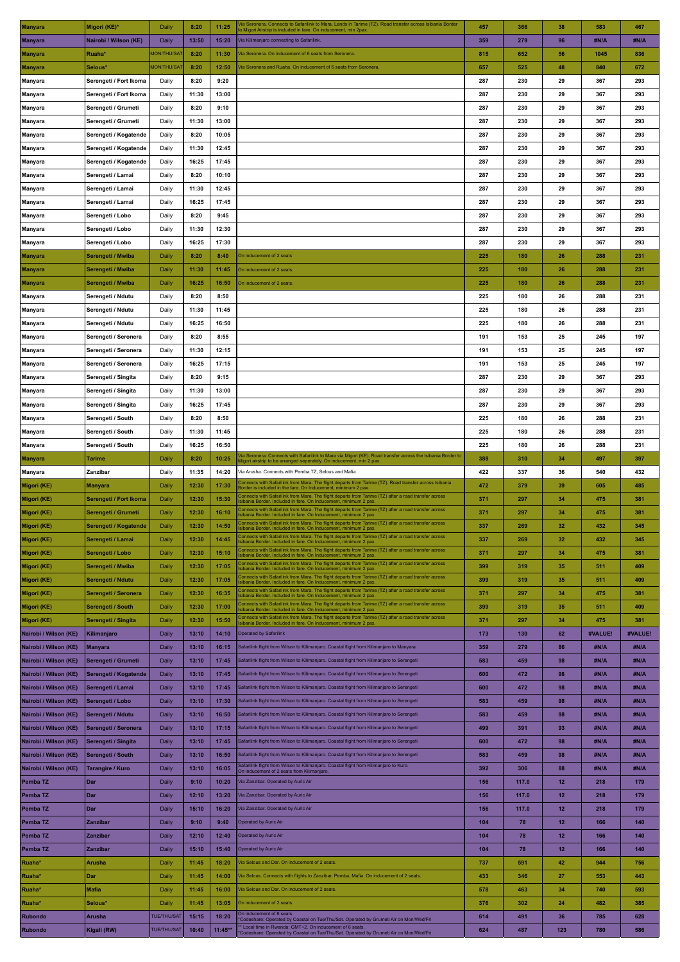| Manyara                         | Migori (KE)*           | Daily              | 8:20  | 11:25 | Ta Seronera. Connects to Safarilink to Mara. Lands in Tarime (TZ). Road transfer across Isibania Border<br>o Migori Airstrip is included in fare. On inducement, min 2pax                                                                                               | 457 | 366   | 38 | 583     | 467     |
|---------------------------------|------------------------|--------------------|-------|-------|-------------------------------------------------------------------------------------------------------------------------------------------------------------------------------------------------------------------------------------------------------------------------|-----|-------|----|---------|---------|
| <b>Manyara</b>                  | Nairobi / Wilson (KE)  | Daily              | 13:50 | 15:20 | Via Kilimanjaro connecting to Safarilink.                                                                                                                                                                                                                               | 359 | 279   | 96 | #N/A    | #N/A    |
| <b>Manyara</b>                  | Ruaha*                 | <b>MON/THU/SAT</b> | 8:20  | 11:30 | Tia Seronera. On inducement of 6 seats from Seronera                                                                                                                                                                                                                    | 815 | 652   | 56 | 1045    | 836     |
| Manyara                         | Selous*                | <b>MON/THU/SAT</b> | 8:20  | 12:50 | /ia Seronera and Ruaha. On inducement of 6 seats from Seronera                                                                                                                                                                                                          | 657 | 525   | 48 | 840     | 672     |
| Manyara                         | Serengeti / Fort Ikoma | Daily              | 8:20  | 9:20  |                                                                                                                                                                                                                                                                         | 287 | 230   | 29 | 367     | 293     |
|                                 |                        |                    | 11:30 | 13:00 |                                                                                                                                                                                                                                                                         | 287 | 230   | 29 | 367     | 293     |
| Manyara                         | Serengeti / Fort Ikoma | Daily              |       |       |                                                                                                                                                                                                                                                                         |     |       |    |         |         |
| Manyara                         | Serengeti / Grumeti    | Daily              | 8:20  | 9:10  |                                                                                                                                                                                                                                                                         | 287 | 230   | 29 | 367     | 293     |
| Manyara                         | Serengeti / Grumeti    | Daily              | 11:30 | 13:00 |                                                                                                                                                                                                                                                                         | 287 | 230   | 29 | 367     | 293     |
| Manyara                         | Serengeti / Kogatende  | Daily              | 8:20  | 10:05 |                                                                                                                                                                                                                                                                         | 287 | 230   | 29 | 367     | 293     |
| Manyara                         | Serengeti / Kogatende  | Daily              | 11:30 | 12:45 |                                                                                                                                                                                                                                                                         | 287 | 230   | 29 | 367     | 293     |
| Manyara                         | Serengeti / Kogatende  | Daily              | 16:25 | 17:45 |                                                                                                                                                                                                                                                                         | 287 | 230   | 29 | 367     | 293     |
| Manyara                         | Serengeti / Lamai      | Daily              | 8:20  | 10:10 |                                                                                                                                                                                                                                                                         | 287 | 230   | 29 | 367     | 293     |
| Manyara                         | Serengeti / Lamai      | Daily              | 11:30 | 12:45 |                                                                                                                                                                                                                                                                         | 287 | 230   | 29 | 367     | 293     |
| Manyara                         | Serengeti / Lamai      | Daily              | 16:25 | 17:45 |                                                                                                                                                                                                                                                                         | 287 | 230   | 29 | 367     | 293     |
| Manyara                         | Serengeti / Lobo       | Daily              | 8:20  | 9:45  |                                                                                                                                                                                                                                                                         | 287 | 230   | 29 | 367     | 293     |
| Manyara                         | Serengeti / Lobo       | Daily              | 11:30 | 12:30 |                                                                                                                                                                                                                                                                         | 287 | 230   | 29 | 367     | 293     |
| Manyara                         | Serengeti / Lobo       | Daily              | 16:25 | 17:30 |                                                                                                                                                                                                                                                                         | 287 | 230   | 29 | 367     | 293     |
| Manyara                         | Serengeti / Mwiba      | Daily              | 8:20  | 8:40  | On inducement of 2 seats                                                                                                                                                                                                                                                | 225 | 180   | 26 | 288     | 231     |
|                                 |                        | Daily              | 11:30 | 11:45 | On inducement of 2 seats.                                                                                                                                                                                                                                               | 225 | 180   | 26 | 288     | 231     |
| <b>Manyara</b>                  | Serengeti / Mwiba      |                    |       |       |                                                                                                                                                                                                                                                                         |     |       |    |         |         |
| <b>Manyara</b>                  | Serengeti / Mwiba      | Daily              | 16:25 | 16:50 | On inducement of 2 seats                                                                                                                                                                                                                                                | 225 | 180   | 26 | 288     | 231     |
| Manyara                         | Serengeti / Ndutu      | Daily              | 8:20  | 8:50  |                                                                                                                                                                                                                                                                         | 225 | 180   | 26 | 288     | 231     |
| Manyara                         | Serengeti / Ndutu      | Daily              | 11:30 | 11:45 |                                                                                                                                                                                                                                                                         | 225 | 180   | 26 | 288     | 231     |
| Manyara                         | Serengeti / Ndutu      | Daily              | 16:25 | 16:50 |                                                                                                                                                                                                                                                                         | 225 | 180   | 26 | 288     | 231     |
| Manyara                         | Serengeti / Seronera   | Daily              | 8:20  | 8:55  |                                                                                                                                                                                                                                                                         | 191 | 153   | 25 | 245     | 197     |
| Manyara                         | Serengeti / Seronera   | Daily              | 11:30 | 12:15 |                                                                                                                                                                                                                                                                         | 191 | 153   | 25 | 245     | 197     |
| Manyara                         | Serengeti / Seronera   | Daily              | 16:25 | 17:15 |                                                                                                                                                                                                                                                                         | 191 | 153   | 25 | 245     | 197     |
| Manyara                         | Serengeti / Singita    | Daily              | 8:20  | 9:15  |                                                                                                                                                                                                                                                                         | 287 | 230   | 29 | 367     | 293     |
| Manyara                         | Serengeti / Singita    | Daily              | 11:30 | 13:00 |                                                                                                                                                                                                                                                                         | 287 | 230   | 29 | 367     | 293     |
| Manyara                         | Serengeti / Singita    | Daily              | 16:25 | 17:45 |                                                                                                                                                                                                                                                                         | 287 | 230   | 29 | 367     | 293     |
| Manyara                         | Serengeti / South      | Daily              | 8:20  | 8:50  |                                                                                                                                                                                                                                                                         | 225 | 180   | 26 | 288     | 231     |
| Manyara                         | Serengeti / South      | Daily              | 11:30 | 11:45 |                                                                                                                                                                                                                                                                         | 225 | 180   | 26 | 288     | 231     |
| Manyara                         | Serengeti / South      | Daily              | 16:25 | 16:50 |                                                                                                                                                                                                                                                                         | 225 | 180   | 26 | 288     | 231     |
| <b>Manyara</b>                  | Tarime                 | Daily              | 8:20  | 10:25 | /ia Seronera. Connects with Safarilink to Mara via Migori (KE). Road transfer across the Isibania Border to                                                                                                                                                             | 388 | 310   | 34 | 497     | 397     |
| <b>Manyara</b>                  | Zanzibar               | Daily              | 11:35 | 14:20 | Aigori airstrip to be arranged seperately. On inducement, min 2 pax.<br>Via Arusha. Connects with Pemba TZ, Selous and Mafia                                                                                                                                            | 422 | 337   | 36 | 540     | 432     |
|                                 |                        |                    |       |       |                                                                                                                                                                                                                                                                         |     |       |    |         |         |
|                                 |                        |                    |       |       |                                                                                                                                                                                                                                                                         |     |       |    |         |         |
| Migori (KE)                     | Manyara                | Daily              | 12:30 | 17:30 | Connects with Safarilink from Mara. The flight departs from Tarime (TZ). Road transfer across Isibania<br>Border is included in the fare. On Inducement, minimum 2 pax.                                                                                                 | 472 | 379   | 39 | 605     | 485     |
| Migori (KE)                     | Serengeti / Fort Ikoma | Daily              | 12:30 | 15:30 | Connects with Safarilink from Mara. The flight departs from Tarime (TZ) after a road transfer across<br>sibania Border. Included in fare. On Inducement, minimum 2 pax.                                                                                                 | 371 | 297   | 34 | 475     | 381     |
| Migori (KE)                     | Serengeti / Grumeti    | Daily              | 12:30 | 16:10 | onnects with Safarilink from Mara. The flight departs from Tarime (TZ) after a road transfer across'<br>sibania Border. Included in fare. On Inducement, minimum 2 pax.                                                                                                 | 371 | 297   | 34 | 475     | 381     |
| Migori (KE)                     | Serengeti / Kogatende  | Daily              | 12:30 | 14:50 | Connects with Safarilink from Mara. The flight departs from Tarime (TZ) after a road transfer across<br>sibania Border. Included in fare. On Inducement, minimum 2 pax.                                                                                                 | 337 | 269   | 32 | 432     | 345     |
| Migori (KE)                     | Serengeti / Lamai      | Daily              | 12:30 | 14:45 | Connects with Safarilink from Mara. The flight departs from Tarime (TZ) after a road transfer across<br>sibania Border. Included in fare. On Inducement, minimum 2 pax                                                                                                  | 337 | 269   | 32 | 432     | 345     |
| Migori (KE)                     | Serengeti / Lobo       | Daily              | 12:30 | 15:10 | Connects with Safarilink from Mara. The flight departs from Tarime (TZ) after a road transfer across<br>sibania Border. Included in fare. On Inducement, minimum 2 pax                                                                                                  | 371 | 297   | 34 | 475     | 381     |
| Migori (KE)                     | Serengeti / Mwiba      | Daily              | 12:30 | 17:05 | Connects with Safarilink from Mara. The flight departs from Tarime (TZ) after a road transfer across<br>sibania Border. Included in fare. On Inducement, minimum 2 pax                                                                                                  | 399 | 319   | 35 | 511     | 409     |
| Migori (KE)                     | Serengeti / Ndutu      | Daily              | 12:30 | 17:05 | Connects with Safarilink from Mara. The flight departs from Tarime (TZ) after a road transfer across<br>sibania Border. Included in fare. On Inducement, minimum 2 pax                                                                                                  | 399 | 319   | 35 | 511     | 409     |
| Migori (KE)                     | Serengeti / Seronera   | Daily              | 12:30 | 16:35 | Connects with Safarilink from Mara. The flight departs from Tarime (TZ) after a road transfer across<br>sibania Border. Included in fare. On Inducement, minimum 2 pax                                                                                                  | 371 | 297   | 34 | 475     | 381     |
| Migori (KE)                     | Serengeti / South      | Daily              | 12:30 | 17:00 | Connects with Safarilink from Mara. The flight departs from Tarime (TZ) after a road transfer across                                                                                                                                                                    | 399 | 319   | 35 | 511     | 409     |
| Migori (KE)                     | Serengeti / Singita    | Daily              | 12:30 | 15:50 | sibania Border. Included in fare. On Inducement, minimum 2 pax<br>Connects with Safarilink from Mara. The flight departs from Tarime (TZ) after a road transfer across                                                                                                  | 371 | 297   | 34 | 475     | 381     |
| Nairobi / Wilson (KE)           | Kilimanjaro            | Daily              | 13:10 | 14:10 | sibania Border. Included in fare. On Inducement, minimum 2 pax<br><b>Operated by Safarilink</b>                                                                                                                                                                         | 173 | 130   | 62 | #VALUE! | #VALUE! |
|                                 |                        |                    |       |       |                                                                                                                                                                                                                                                                         |     |       |    |         |         |
| Nairobi / Wilson (KE)           | <b>Manyara</b>         | Daily              | 13:10 | 16:15 | Safarilink flight from Wilson to Kilimanjaro. Coastal flight from Kilimanjaro to Manyara                                                                                                                                                                                | 359 | 279   | 86 | #N/A    | #N/A    |
| Nairobi / Wilson (KE)           | Serengeti / Grumeti    | Daily              | 13:10 | 17:45 | Safarilink flight from Wilson to Kilimanjaro. Coastal flight from Kilimanjaro to Serengeti                                                                                                                                                                              | 583 | 459   | 98 | #N/A    | #N/A    |
| Nairobi / Wilson (KE)           | Serengeti / Kogatende  | Daily              | 13:10 | 17:45 | Safarilink flight from Wilson to Kilimanjaro. Coastal flight from Kilimanjaro to Serengeti                                                                                                                                                                              | 600 | 472   | 98 | #N/A    | #N/A    |
| Nairobi / Wilson (KE)           | Serengeti / Lamai      | Daily              | 13:10 | 17:45 | Safarilink flight from Wilson to Kilimanjaro. Coastal flight from Kilimanjaro to Serengeti                                                                                                                                                                              | 600 | 472   | 98 | #N/A    | #N/A    |
| Nairobi / Wilson (KE)           | Serengeti / Lobo       | Daily              | 13:10 | 17:30 | Safarilink flight from Wilson to Kilimanjaro. Coastal flight from Kilimanjaro to Serengeti                                                                                                                                                                              | 583 | 459   | 98 | #N/A    | #N/A    |
| Nairobi / Wilson (KE)           | Serengeti / Ndutu      | Daily              | 13:10 | 16:50 | Safarilink flight from Wilson to Kilimanjaro. Coastal flight from Kilimanjaro to Serengeti                                                                                                                                                                              | 583 | 459   | 98 | #N/A    | #N/A    |
| Nairobi / Wilson (KE)           | Serengeti / Seronera   | Daily              | 13:10 | 17:15 | Safarilink flight from Wilson to Kilimanjaro. Coastal flight from Kilimanjaro to Serengeti                                                                                                                                                                              | 499 | 391   | 93 | #N/A    | #N/A    |
| Nairobi / Wilson (KE)           | Serengeti / Singita    | Daily              | 13:10 | 17:45 | Safarilink flight from Wilson to Kilimanjaro. Coastal flight from Kilimanjaro to Serengeti                                                                                                                                                                              | 600 | 472   | 98 | #N/A    | #N/A    |
| Nairobi / Wilson (KE)           | Serengeti / South      | Daily              | 13:10 | 16:50 | Safarilink flight from Wilson to Kilimanjaro. Coastal flight from Kilimanjaro to Serengeti                                                                                                                                                                              | 583 | 459   | 98 | #N/A    | #N/A    |
| Nairobi / Wilson (KE)           | Tarangire / Kuro       | Daily              | 13:10 | 16:05 | Safarilink flight from Wilson to Kilimanjaro. Coastal flight from Kilimanjaro to Kuro.                                                                                                                                                                                  | 392 | 306   | 88 | #N/A    | #N/A    |
| Pemba <sub>TZ</sub>             | Dar                    | Daily              | 9:10  | 10:20 | On inducement of 2 seats from Kilimanjaro.<br>Via Zanzibar. Operated by Auric Air                                                                                                                                                                                       | 156 | 117.0 | 12 | 218     | 179     |
| Pemba TZ                        | Dar                    | Daily              | 12:10 | 13:20 | Via Zanzibar. Operated by Auric Air                                                                                                                                                                                                                                     | 156 | 117.0 | 12 | 218     | 179     |
|                                 |                        |                    | 15:10 | 16:20 | Via Zanzibar. Operated by Auric Air                                                                                                                                                                                                                                     | 156 | 117.0 | 12 | 218     | 179     |
| Pemba TZ<br>Pemba <sub>TZ</sub> | Dar<br>Zanzibar        | Daily<br>Daily     | 9:10  | 9:40  | Operated by Auric Air                                                                                                                                                                                                                                                   | 104 | 78    | 12 | 166     | 140     |
|                                 |                        |                    |       |       |                                                                                                                                                                                                                                                                         |     |       |    |         |         |
| Pemba TZ                        | Zanzibar               | Daily              | 12:10 | 12:40 | Operated by Auric Air                                                                                                                                                                                                                                                   | 104 | 78    | 12 | 166     | 140     |
| Pemba TZ                        | Zanzibar               | Daily              | 15:10 | 15:40 | Operated by Auric Air                                                                                                                                                                                                                                                   | 104 | 78    | 12 | 166     | 140     |
| Ruaha*                          | Arusha                 | Daily              | 11:45 | 18:20 | Via Selous and Dar. On inducement of 2 seats.                                                                                                                                                                                                                           | 737 | 591   | 42 | 944     | 756     |
| Ruaha*                          | Dar                    | Daily              | 11:45 | 14:00 | Via Selous. Connects with flights to Zanzibar, Pemba, Mafia. On inducement of 2 seats.                                                                                                                                                                                  | 433 | 346   | 27 | 553     | 443     |
| Ruaha*                          | Mafia                  | Daily              | 11:45 | 16:00 | Via Selous and Dar. On inducement of 2 seats.                                                                                                                                                                                                                           | 578 | 463   | 34 | 740     | 593     |
| Ruaha*                          | Selous*                | Daily              | 11:45 | 13:05 | On inducement of 2 seats.                                                                                                                                                                                                                                               | 376 | 302   | 24 | 482     | 385     |
| Rubondo                         | Arusha                 | <b>TUE/THU/SAT</b> | 15:15 | 18:20 | On inducement of 6 seats<br>'Codeshare: Operated by Coastal on Tue/Thu/Sat. Operated by Grumeti Air on Mon/Wed/Fri<br>* Local time in Rwanda: GMT+2. On inducement of 6 seats.<br>Codeshare: Operated by Coastal on Tue/Thu/Sat. Operated by Grumeti Air on Mon/Wed/Fri | 614 | 491   | 36 | 785     | 628     |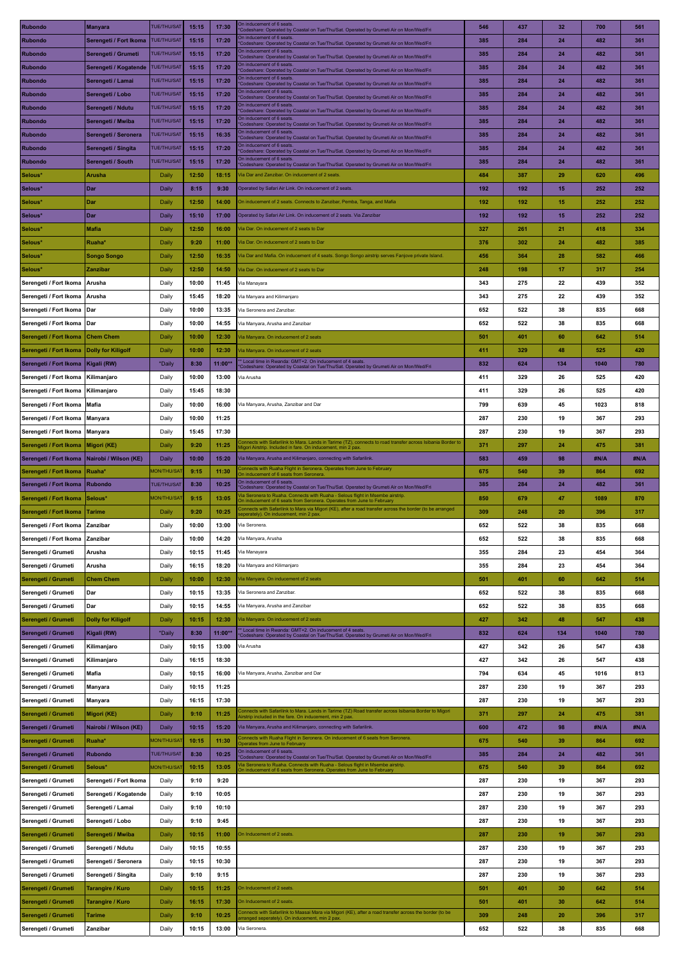| Rubondo                | <b>Manyara</b>            | <b>TUE/THU/SAT</b> | 15:15 | 17:30     | On inducement of 6 seats<br>Codeshare: Operated by Coastal on Tue/Thu/Sat. Operated by Grumeti Air on Mon/Wed/Fri                                                                   | 546 | 437 | 32  | 700  | 561  |
|------------------------|---------------------------|--------------------|-------|-----------|-------------------------------------------------------------------------------------------------------------------------------------------------------------------------------------|-----|-----|-----|------|------|
| <b>Rubondo</b>         | Serengeti / Fort Ikoma    | <b>TUE/THU/SAT</b> | 15:15 | 17:20     | On inducement of 6 seats<br>Codeshare: Operated by Coastal on Tue/Thu/Sat. Operated by Grumeti Air on Mon/Wed/Fri                                                                   | 385 | 284 | 24  | 482  | 361  |
| <b>Rubondo</b>         | Serengeti / Grumeti       | <b>TUE/THU/SAT</b> | 15:15 | 17:20     | On inducement of 6 seats                                                                                                                                                            | 385 | 284 | 24  | 482  | 361  |
|                        |                           | <b>TUE/THU/SAT</b> |       |           | Codeshare: Operated by Coastal on Tue/Thu/Sat. Operated by Grumeti Air on Mon/Wed/Fri<br>On inducement of 6 seats                                                                   |     |     |     |      |      |
| <b>Rubondo</b>         | Serengeti / Kogatende     |                    | 15:15 | 17:20     | 'Codeshare: Operated by Coastal on Tue/Thu/Sat. Operated by Grumeti Air on Mon/Wed/Fri<br>On inducement of 6 seats                                                                  | 385 | 284 | 24  | 482  | 361  |
| Rubondo                | Serengeti / Lamai         | <b>TUE/THU/SAT</b> | 15:15 | 17:20     | Codeshare: Operated by Coastal on Tue/Thu/Sat. Operated by Grumeti Air on Mon/Wed/Fri                                                                                               | 385 | 284 | 24  | 482  | 361  |
| <b>Rubondo</b>         | Serengeti / Lobo          | <b>TUE/THU/SAT</b> | 15:15 | 17:20     | On inducement of 6 seats<br>Codeshare: Operated by Coastal on Tue/Thu/Sat. Operated by Grumeti Air on Mon/Wed/Fri                                                                   | 385 | 284 | 24  | 482  | 361  |
| <b>Rubondo</b>         | Serengeti / Ndutu         | <b>TUE/THU/SAT</b> | 15:15 | 17:20     | On inducement of 6 seats<br>Codeshare: Operated by Coastal on Tue/Thu/Sat. Operated by Grumeti Air on Mon/Wed/Fri                                                                   | 385 | 284 | 24  | 482  | 361  |
| <b>Rubondo</b>         | Serengeti / Mwiba         | <b>TUE/THU/SAT</b> | 15:15 | 17:20     | On inducement of 6 seats<br>Codeshare: Operated by Coastal on Tue/Thu/Sat. Operated by Grumeti Air on Mon/Wed/Fri                                                                   | 385 | 284 | 24  | 482  | 361  |
| <b>Rubondo</b>         | Serengeti / Seronera      | <b>TUE/THU/SAT</b> | 15:15 | 16:35     | On inducement of 6 seats<br>Codeshare: Operated by Coastal on Tue/Thu/Sat. Operated by Grumeti Air on Mon/Wed/Fri                                                                   | 385 | 284 | 24  | 482  | 361  |
| <b>Rubondo</b>         | Serengeti / Singita       | <b>TUE/THU/SAT</b> | 15:15 | 17:20     | On inducement of 6 seats                                                                                                                                                            | 385 | 284 | 24  | 482  | 361  |
|                        |                           |                    |       |           | Codeshare: Operated by Coastal on Tue/Thu/Sat. Operated by Grumeti Air on Mon/Wed/Fri<br>On inducement of 6 seats                                                                   |     |     |     |      |      |
| <b>Rubondo</b>         | Serengeti / South         | <b>TUE/THU/SAT</b> | 15:15 | 17:20     | Codeshare: Operated by Coastal on Tue/Thu/Sat. Operated by Grumeti Air on Mon/Wed/Fri                                                                                               | 385 | 284 | 24  | 482  | 361  |
| Selous*                | <b>Arusha</b>             | Daily              | 12:50 | 18:15     | Via Dar and Zanzibar, On inducement of 2 seats                                                                                                                                      | 484 | 387 | 29  | 620  | 496  |
| Selous*                | Dar                       | Daily              | 8:15  | 9:30      | Operated by Safari Air Link. On inducement of 2 seats.                                                                                                                              | 192 | 192 | 15  | 252  | 252  |
| Selous'                | Dar                       | Daily              | 12:50 | 14:00     | On inducement of 2 seats. Connects to Zanzibar, Pemba, Tanga, and Mafia                                                                                                             | 192 | 192 | 15  | 252  | 252  |
| Selous*                | Dar                       | Daily              | 15:10 | 17:00     | Operated by Safari Air Link. On inducement of 2 seats. Via Zanzibar                                                                                                                 | 192 | 192 | 15  | 252  | 252  |
| Selous*                | <b>Mafia</b>              | Daily              | 12:50 | 16:00     | Via Dar. On inducement of 2 seats to Dar                                                                                                                                            | 327 | 261 | 21  | 418  | 334  |
| Selous*                | Ruaha*                    | Daily              | 9:20  | 11:00     | Via Dar. On inducement of 2 seats to Dar                                                                                                                                            | 376 | 302 | 24  | 482  | 385  |
|                        |                           |                    |       |           |                                                                                                                                                                                     |     |     |     |      |      |
| Selous*                | Songo Songo               | Daily              | 12:50 | 16:35     | Via Dar and Mafia. On inducement of 4 seats. Songo Songo airstrip serves Fanjove private Island.                                                                                    | 456 | 364 | 28  | 582  | 466  |
| Selous*                | Zanzibar                  | Daily              | 12:50 | 14:50     | Via Dar. On inducement of 2 seats to Dar                                                                                                                                            | 248 | 198 | 17  | 317  | 254  |
| Serengeti / Fort Ikoma | Arusha                    | Daily              | 10:00 | 11:45     | Via Manayara                                                                                                                                                                        | 343 | 275 | 22  | 439  | 352  |
| Serengeti / Fort Ikoma | Arusha                    | Daily              | 15:45 | 18:20     | Via Manyara and Kilimanjaro                                                                                                                                                         | 343 | 275 | 22  | 439  | 352  |
| Serengeti / Fort Ikoma | Dar                       | Daily              | 10:00 | 13:35     | Via Seronera and Zanzibar                                                                                                                                                           | 652 | 522 | 38  | 835  | 668  |
| Serengeti / Fort Ikoma | Dar                       | Daily              | 10:00 | 14:55     | Via Manyara, Arusha and Zanzibar                                                                                                                                                    | 652 | 522 | 38  | 835  | 668  |
|                        |                           |                    |       |           |                                                                                                                                                                                     |     |     |     |      |      |
| Serengeti / Fort Ikoma | <b>Chem Chem</b>          | Daily              | 10:00 | 12:30     | fia Manyara. On inducement of 2 seats                                                                                                                                               | 501 | 401 | 60  | 642  | 514  |
| Serengeti / Fort Ikoma | <b>Dolly for Kiligolf</b> | Daily              | 10:00 | 12:30     | Via Manyara. On inducement of 2 seats                                                                                                                                               | 411 | 329 | 48  | 525  | 420  |
| Serengeti / Fort Ikoma | Kigali (RW)               | *Daily             | 8:30  | $11:00**$ | Local time in Rwanda: GMT+2. On inducement of 4 seats<br>Codeshare: Operated by Coastal on Tue/Thu/Sat. Operated by Grumeti Air on Mon/Wed/Fri                                      | 832 | 624 | 134 | 1040 | 780  |
| Serengeti / Fort Ikoma | Kilimanjaro               | Daily              | 10:00 | 13:00     | Via Arusha                                                                                                                                                                          | 411 | 329 | 26  | 525  | 420  |
| Serengeti / Fort Ikoma | Kilimanjaro               | Daily              | 15:45 | 18:30     |                                                                                                                                                                                     | 411 | 329 | 26  | 525  | 420  |
| Serengeti / Fort Ikoma | Mafia                     | Daily              | 10:00 | 16:00     | Via Manyara, Arusha, Zanzibar and Dar                                                                                                                                               | 799 | 639 | 45  | 1023 | 818  |
|                        |                           |                    |       |           |                                                                                                                                                                                     |     |     |     |      |      |
| Serengeti / Fort Ikoma | Manyara                   | Daily              | 10:00 | 11:25     |                                                                                                                                                                                     | 287 | 230 | 19  | 367  | 293  |
| Serengeti / Fort Ikoma | Manyara                   | Daily              | 15:45 | 17:30     |                                                                                                                                                                                     | 287 | 230 | 19  | 367  | 293  |
| Serengeti / Fort Ikoma | Migori (KE)               | Daily              | 9:20  | 11:25     | onnects with Safarilink to Mara. Lands in Tarime (TZ), connects to road transfer across Isibania Border to<br>ligori Airstrip. Included in fare. On inducement, min 2 pax           | 371 | 297 | 24  | 475  | 381  |
| Serengeti / Fort Ikoma | Nairobi / Wilson (KE)     | Daily              | 10:00 | 15:20     | Via Manyara, Arusha and Kilimanjaro, connecting with Safarilink.                                                                                                                    | 583 | 459 | 98  | #N/A | #N/A |
| Serengeti / Fort Ikoma | Ruaha*                    | <b>JON/THU/SAT</b> | 9:15  | 11:30     | onnects with Ruaha Flight in Seronera. Operates from June to February<br>On inducement of 6 seats from Seronera                                                                     | 675 | 540 | 39  | 864  | 692  |
| Serengeti / Fort Ikoma | Rubondo                   | <b>TUE/THU/SAT</b> | 8:30  | 10:25     | On inducement of 6 seats<br>Codeshare: Operated by Coastal on Tue/Thu/Sat. Operated by Grumeti Air on Mon/Wed/Fri                                                                   | 385 | 284 | 24  | 482  | 361  |
| Serengeti / Fort Ikoma | Selous*                   | <b>MON/THU/SAT</b> | 9:15  | 13:05     | ia Seronera to Ruaha. Connects with Ruaha - Selous flight in Msembe airstrip                                                                                                        | 850 | 679 | 47  | 1089 | 870  |
|                        |                           |                    |       |           | On inducement of 6 seats from Seronera. Operates from June to February<br>Connects with Safarilink to Mara via Migori (KE), after a road transfer across the border (to be arranged |     |     |     |      |      |
| Serengeti / Fort Ikoma | <b>Tarime</b>             | Daily              | 9:20  | 10:25     | eperately). On inducement, min 2 pax.                                                                                                                                               | 309 | 248 | 20  | 396  | 317  |
| Serengeti / Fort Ikoma | Zanzibar                  | Daily              | 10:00 | 13:00     | Via Seronera.                                                                                                                                                                       | 652 | 522 | 38  | 835  | 668  |
| Serengeti / Fort Ikoma | Zanzibar                  | Daily              | 10:00 | 14:20     | Via Manyara, Arusha                                                                                                                                                                 | 652 | 522 | 38  | 835  | 668  |
| Serengeti / Grumeti    | Arusha                    | Daily              | 10:15 | 11:45     | Via Manayara                                                                                                                                                                        | 355 | 284 | 23  | 454  | 364  |
| Serengeti / Grumeti    | Arusha                    | Daily              | 16:15 | 18:20     | Via Manyara and Kilimanjaro                                                                                                                                                         | 355 | 284 | 23  | 454  | 364  |
| Serengeti / Grumeti    | <b>Chem Chem</b>          | Daily              | 10:00 | 12:30     | Via Manyara. On inducement of 2 seats                                                                                                                                               | 501 | 401 | 60  | 642  | 514  |
| Serengeti / Grumeti    | Dar                       | Daily              | 10:15 | 13:35     | Via Seronera and Zanzibar                                                                                                                                                           | 652 | 522 | 38  | 835  | 668  |
|                        |                           |                    |       |           |                                                                                                                                                                                     |     |     |     |      |      |
| Serengeti / Grumeti    | Dar                       | Daily              | 10:15 | 14:55     | Via Manyara, Arusha and Zanzibar                                                                                                                                                    | 652 | 522 | 38  | 835  | 668  |
| Serengeti / Grumeti    | <b>Dolly for Kiligolf</b> | Daily              | 10:15 | 12:30     | Via Manyara. On inducement of 2 seats                                                                                                                                               | 427 | 342 | 48  | 547  | 438  |
| Serengeti / Grumeti    | Kigali (RW)               | *Daily             | 8:30  | 11:00**   | * Local time in Rwanda: GMT+2. On inducement of 4 seats<br>Codeshare: Operated by Coastal on Tue/Thu/Sat. Operated by Grumeti Air on Mon/Wed/Fri                                    | 832 | 624 | 134 | 1040 | 780  |
| Serengeti / Grumeti    | Kilimanjaro               | Daily              | 10:15 | 13:00     | Via Arusha                                                                                                                                                                          | 427 | 342 | 26  | 547  | 438  |
| Serengeti / Grumeti    | Kilimanjaro               | Daily              | 16:15 | 18:30     |                                                                                                                                                                                     | 427 | 342 | 26  | 547  | 438  |
| Serengeti / Grumeti    | Mafia                     | Daily              | 10:15 | 16:00     | Via Manyara, Arusha, Zanzibar and Dar                                                                                                                                               | 794 | 634 | 45  | 1016 | 813  |
|                        |                           |                    |       |           |                                                                                                                                                                                     |     |     |     |      |      |
| Serengeti / Grumeti    | Manyara                   | Daily              | 10:15 | 11:25     |                                                                                                                                                                                     | 287 | 230 | 19  | 367  | 293  |
| Serengeti / Grumeti    | Manyara                   | Daily              | 16:15 | 17:30     |                                                                                                                                                                                     | 287 | 230 | 19  | 367  | 293  |
| Serengeti / Grumeti    | Migori (KE)               | Daily              | 9:10  | 11:25     | onnects with Safarilink to Mara. Lands in Tarime (TZ) Road transfer across Isibania Border to Migori'<br>irstrip included in the fare. On inducement, min 2 pax.                    | 371 | 297 | 24  | 475  | 381  |
| Serengeti / Grumeti    | Nairobi / Wilson (KE)     | Daily              | 10:15 | 15:20     | Via Manyara, Arusha and Kilimanjaro, connecting with Safarilink.                                                                                                                    | 600 | 472 | 98  | #N/A | #N/A |
| Serengeti / Grumeti    | Ruaha*                    | <b>MON/THU/SAT</b> | 10:15 | 11:30     | onnects with Ruaha Flight in Seronera. On inducement of 6 seats from Seronera.<br>perates from June to February                                                                     | 675 | 540 | 39  | 864  | 692  |
| Serengeti / Grumeti    | <b>Rubondo</b>            | <b>TUE/THU/SAT</b> | 8:30  | 10:25     | On inducement of 6 seats.                                                                                                                                                           | 385 | 284 | 24  | 482  | 361  |
|                        | Selous*                   | <b>MON/THU/SAT</b> | 10:15 | 13:05     | Codeshare: Operated by Coastal on Tue/Thu/Sat. Operated by Grumeti Air on Mon/Wed/Fri<br>fia Seronera to Ruaha. Connects with Ruaha - Selous flight in Msembe airstrip              | 675 | 540 | 39  | 864  | 692  |
| Serengeti / Grumeti    |                           |                    |       |           | On inducement of 6 seats from Seronera. Operates from June to February                                                                                                              |     |     |     |      |      |
| Serengeti / Grumeti    | Serengeti / Fort Ikoma    | Daily              | 9:10  | 9:20      |                                                                                                                                                                                     | 287 | 230 | 19  | 367  | 293  |
| Serengeti / Grumeti    | Serengeti / Kogatende     | Daily              | 9:10  | 10:05     |                                                                                                                                                                                     | 287 | 230 | 19  | 367  | 293  |
| Serengeti / Grumeti    | Serengeti / Lamai         | Daily              | 9:10  | 10:10     |                                                                                                                                                                                     | 287 | 230 | 19  | 367  | 293  |
| Serengeti / Grumeti    | Serengeti / Lobo          | Daily              | 9:10  | 9:45      |                                                                                                                                                                                     | 287 | 230 | 19  | 367  | 293  |
| Serengeti / Grumeti    | Serengeti / Mwiba         | Daily              | 10:15 | 11:00     | On Inducement of 2 seats.                                                                                                                                                           | 287 | 230 | 19  | 367  | 293  |
| Serengeti / Grumeti    | Serengeti / Ndutu         | Daily              | 10:15 | 10:55     |                                                                                                                                                                                     | 287 | 230 | 19  | 367  | 293  |
|                        |                           |                    |       |           |                                                                                                                                                                                     |     |     |     |      |      |
| Serengeti / Grumeti    | Serengeti / Seronera      | Daily              | 10:15 | 10:30     |                                                                                                                                                                                     | 287 | 230 | 19  | 367  | 293  |
| Serengeti / Grumeti    | Serengeti / Singita       | Daily              | 9:10  | 9:15      |                                                                                                                                                                                     | 287 | 230 | 19  | 367  | 293  |
| Serengeti / Grumeti    | Tarangire / Kuro          | Daily              | 10:15 | 11:25     | On Inducement of 2 seats                                                                                                                                                            | 501 | 401 | 30  | 642  | 514  |
| Serengeti / Grumeti    | Tarangire / Kuro          | Daily              | 16:15 | 17:30     | On Inducement of 2 seats.                                                                                                                                                           | 501 | 401 | 30  | 642  | 514  |
|                        | <b>Tarime</b>             | Daily              | 9:10  | 10:25     | Connects with Safarilink to Maasai Mara via Migori (KE), after a road transfer across the border (to be<br>arranged seperately). On inducement, min 2 pax                           | 309 | 248 | 20  | 396  | 317  |
| Serengeti / Grumeti    |                           |                    |       |           |                                                                                                                                                                                     |     |     |     |      |      |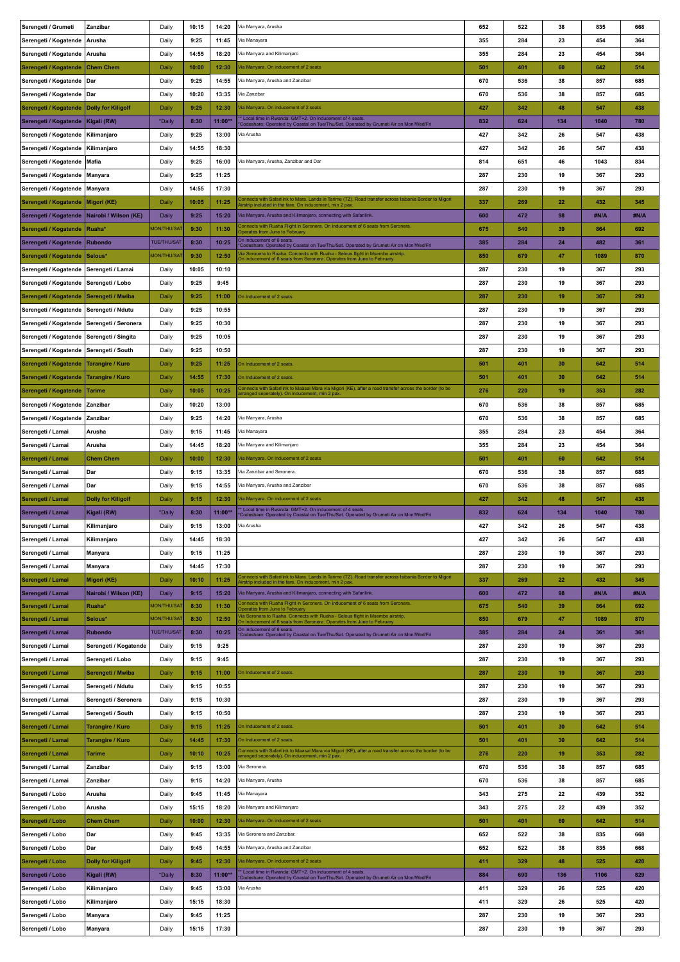| Serengeti / Grumeti                        | Zanzibar                  | Daily              | 10:15 | 14:20     | Via Manyara, Arusha                                                                                                                                                                                 | 652 | 522 | 38  | 835  | 668  |
|--------------------------------------------|---------------------------|--------------------|-------|-----------|-----------------------------------------------------------------------------------------------------------------------------------------------------------------------------------------------------|-----|-----|-----|------|------|
| Serengeti / Kogatende                      | l Arusha                  | Daily              | 9:25  | 11:45     | Via Manayara                                                                                                                                                                                        | 355 | 284 | 23  | 454  | 364  |
| Serengeti / Kogatende                      | Arusha                    | Daily              | 14:55 | 18:20     | Via Manyara and Kilimanjaro                                                                                                                                                                         | 355 | 284 | 23  | 454  | 364  |
| Serengeti / Kogatende                      | <b>Chem Chem</b>          | Daily              | 10:00 | 12:30     | Via Manyara. On inducement of 2 seats                                                                                                                                                               | 501 | 401 | 60  | 642  | 514  |
|                                            |                           |                    |       |           |                                                                                                                                                                                                     |     |     |     |      |      |
| Serengeti / Kogatende   Dar                |                           | Daily              | 9:25  | 14:55     | Via Manyara, Arusha and Zanzibar                                                                                                                                                                    | 670 | 536 | 38  | 857  | 685  |
| Serengeti / Kogatende   Dar                |                           | Daily              | 10:20 | 13:35     | Via Zanzibar                                                                                                                                                                                        | 670 | 536 | 38  | 857  | 685  |
| Serengeti / Kogatende   Dolly for Kiligolf |                           | Daily              | 9:25  | 12:30     | Via Manyara. On inducement of 2 seats                                                                                                                                                               | 427 | 342 | 48  | 547  | 438  |
| Serengeti / Kogatende   Kigali (RW)        |                           | *Daily             | 8:30  | 11:00**   | * Local time in Rwanda: GMT+2. On inducement of 4 seats<br>Codeshare: Operated by Coastal on Tue/Thu/Sat. Operated by Grumeti Air on Mon/Wed/Fri                                                    | 832 | 624 | 134 | 1040 | 780  |
| Serengeti / Kogatende   Kilimanjaro        |                           | Daily              | 9:25  | 13:00     | Via Arusha                                                                                                                                                                                          | 427 | 342 | 26  | 547  | 438  |
| Serengeti / Kogatende   Kilimanjaro        |                           | Daily              | 14:55 | 18:30     |                                                                                                                                                                                                     | 427 | 342 | 26  | 547  | 438  |
| Serengeti / Kogatende   Mafia              |                           | Daily              | 9:25  | 16:00     | Via Manyara, Arusha, Zanzibar and Dar                                                                                                                                                               | 814 | 651 | 46  | 1043 | 834  |
| Serengeti / Kogatende   Manyara            |                           | Daily              | 9:25  | 11:25     |                                                                                                                                                                                                     | 287 | 230 | 19  | 367  | 293  |
| Serengeti / Kogatende   Manyara            |                           | Daily              | 14:55 | 17:30     |                                                                                                                                                                                                     | 287 | 230 | 19  | 367  | 293  |
| Serengeti / Kogatende                      | Migori (KE)               | Daily              | 10:05 | 11:25     | Connects with Safarilink to Mara. Lands in Tarime (TZ). Road transfer across Isibania Border to Migori                                                                                              | 337 | 269 | 22  | 432  | 345  |
| Serengeti / Kogatende                      | Nairobi / Wilson (KE)     | Daily              | 9:25  | 15:20     | virstrip included in the fare. On inducement, min 2 pax<br>Via Manyara, Arusha and Kilimanjaro, connecting with Safarilink.                                                                         | 600 | 472 | 98  | #N/A | #N/A |
|                                            | Ruaha*                    | <b>MON/THU/SAT</b> | 9:30  | 11:30     | Connects with Ruaha Flight in Seronera. On inducement of 6 seats from Seronera.                                                                                                                     | 675 | 540 | 39  | 864  | 692  |
| Serengeti / Kogatende                      |                           |                    |       |           | Operates from June to February<br>On inducement of 6 seats                                                                                                                                          |     |     |     |      |      |
| Serengeti / Kogatende   Rubondo            |                           | <b>TUE/THU/SAT</b> | 8:30  | 10:25     | 'Codeshare: Operated by Coastal on Tue/Thu/Sat. Operated by Grumeti Air on Mon/Wed/Fri<br>/ia Seronera to Ruaha. Connects with Ruaha - Selous flight in Msembe airstrip                             | 385 | 284 | 24  | 482  | 361  |
| Serengeti / Kogatende                      | Selous*                   | <b>MON/THU/SAT</b> | 9:30  | 12:50     | On inducement of 6 seats from Seronera. Operates from June to February                                                                                                                              | 850 | 679 | 47  | 1089 | 870  |
| Serengeti / Kogatende   Serengeti / Lamai  |                           | Daily              | 10:05 | 10:10     |                                                                                                                                                                                                     | 287 | 230 | 19  | 367  | 293  |
| Serengeti / Kogatende Serengeti / Lobo     |                           | Daily              | 9:25  | 9:45      |                                                                                                                                                                                                     | 287 | 230 | 19  | 367  | 293  |
| Serengeti / Kogatende   Serengeti / Mwiba  |                           | Daily              | 9:25  | 11:00     | On Inducement of 2 seats                                                                                                                                                                            | 287 | 230 | 19  | 367  | 293  |
| Serengeti / Kogatende   Serengeti / Ndutu  |                           | Daily              | 9:25  | 10:55     |                                                                                                                                                                                                     | 287 | 230 | 19  | 367  | 293  |
| Serengeti / Kogatende                      | Serengeti / Seronera      | Daily              | 9:25  | 10:30     |                                                                                                                                                                                                     | 287 | 230 | 19  | 367  | 293  |
| Serengeti / Kogatende                      | Serengeti / Singita       | Daily              | 9:25  | 10:05     |                                                                                                                                                                                                     | 287 | 230 | 19  | 367  | 293  |
| Serengeti / Kogatende   Serengeti / South  |                           | Daily              | 9:25  | 10:50     |                                                                                                                                                                                                     | 287 | 230 | 19  | 367  | 293  |
| Serengeti / Kogatende                      | Tarangire / Kuro          | Daily              | 9:25  | 11:25     | On Inducement of 2 seats                                                                                                                                                                            | 501 | 401 | 30  | 642  | 514  |
| Serengeti / Kogatende                      | <b>Tarangire / Kuro</b>   | Daily              | 14:55 | 17:30     | On Inducement of 2 seats                                                                                                                                                                            | 501 | 401 | 30  | 642  | 514  |
|                                            |                           |                    |       |           | Connects with Safarilink to Maasai Mara via Migori (KE), after a road transfer across the border (to be                                                                                             |     |     |     |      |      |
| Serengeti / Kogatende                      | <b>Tarime</b>             | Daily              | 10:05 | 10:25     | pranged seperately). On inducement, min 2 pax                                                                                                                                                       | 276 | 220 | 19  | 353  | 282  |
| Serengeti / Kogatende                      | Zanzibar                  | Daily              | 10:20 | 13:00     |                                                                                                                                                                                                     | 670 | 536 | 38  | 857  | 685  |
| Serengeti / Kogatende                      | Zanzibar                  | Daily              | 9:25  | 14:20     | Via Manyara, Arusha                                                                                                                                                                                 | 670 | 536 | 38  | 857  | 685  |
| Serengeti / Lamai                          | Arusha                    | Daily              | 9:15  | 11:45     | Via Manayara                                                                                                                                                                                        | 355 | 284 | 23  | 454  | 364  |
| Serengeti / Lamai                          | Arusha                    | Daily              | 14:45 | 18:20     | Via Manyara and Kilimanjaro                                                                                                                                                                         | 355 | 284 | 23  | 454  | 364  |
| Serengeti / Lamai                          | <b>Chem Chem</b>          | Daily              | 10:00 | 12:30     | Via Manyara. On inducement of 2 seats                                                                                                                                                               | 501 | 401 | 60  | 642  | 514  |
| Serengeti / Lamai                          | Dar                       | Daily              | 9:15  | 13:35     | Via Zanzibar and Seronera.                                                                                                                                                                          | 670 | 536 | 38  | 857  | 685  |
|                                            |                           |                    |       |           |                                                                                                                                                                                                     |     |     |     |      |      |
| Serengeti / Lamai                          | Dar                       | Daily              | 9:15  | 14:55     | Via Manyara, Arusha and Zanzibar                                                                                                                                                                    | 670 | 536 | 38  | 857  | 685  |
| Serengeti / Lamai                          | <b>Dolly for Kiligolf</b> | Daily              | 9:15  | 12:30     | Via Manyara. On inducement of 2 seats                                                                                                                                                               | 427 | 342 | 48  | 547  | 438  |
| Serengeti / Lamai                          | Kigali (RW)               | *Daily             | 8:30  | 11:00**   | * Local time in Rwanda: GMT+2. On inducement of 4 seats.                                                                                                                                            | 832 | 624 | 134 | 1040 | 780  |
| Serengeti / Lamai                          | Kilimanjaro               | Daily              | 9:15  | 13:00     | Codeshare: Operated by Coastal on Tue/Thu/Sat. Operated by Grumeti Air on Mon/Wed/Fri<br>Via Arusha                                                                                                 | 427 | 342 | 26  | 547  | 438  |
|                                            |                           | Daily              | 14:45 | 18:30     |                                                                                                                                                                                                     | 427 | 342 | 26  | 547  | 438  |
| Serengeti / Lamai                          | Kilimanjaro               |                    |       |           |                                                                                                                                                                                                     |     |     |     |      |      |
| Serengeti / Lamai                          | Manyara                   | Daily              | 9:15  | 11:25     |                                                                                                                                                                                                     | 287 | 230 | 19  | 367  | 293  |
| Serengeti / Lamai                          | Manyara                   | Daily              | 14:45 | 17:30     | Connects with Safarilink to Mara. Lands in Tarime (TZ). Road transfer across Isibania Border to Migori                                                                                              | 287 | 230 | 19  | 367  | 293  |
| Serengeti / Lamai                          | Migori (KE)               | Daily              | 10:10 | 11:25     | Airstrip included in the fare. On inducement, min 2 pax.                                                                                                                                            | 337 | 269 | 22  | 432  | 345  |
| Serengeti / Lamai                          | Nairobi / Wilson (KE)     | Daily              | 9:15  | 15:20     | Via Manyara, Arusha and Kilimanjaro, connecting with Safarilink.                                                                                                                                    | 600 | 472 | 98  | #N/A | #N/A |
| Serengeti / Lamai                          | Ruaha*                    | <b>MON/THU/SAT</b> | 8:30  | 11:30     | Connects with Ruaha Flight in Seronera. On inducement of 6 seats from Seronera.<br>Operates from June to February<br>Via Seronera to Ruaha. Connects with Ruaha - Selous flight in Msembe airstrip. | 675 | 540 | 39  | 864  | 692  |
| Serengeti / Lamai                          | Selous*                   | <b>MON/THU/SAT</b> | 8:30  | 12:50     | On inducement of 6 seats from Seronera. Operates from June to February                                                                                                                              | 850 | 679 | 47  | 1089 | 870  |
| Serengeti / Lamai                          | <b>Rubondo</b>            | <b>TUE/THU/SAT</b> | 8:30  | 10:25     | On inducement of 6 seats.<br>Codeshare: Operated by Coastal on Tue/Thu/Sat. Operated by Grumeti Air on Mon/Wed/Fri                                                                                  | 385 | 284 | 24  | 361  | 361  |
| Serengeti / Lamai                          | Serengeti / Kogatende     | Daily              | 9:15  | 9:25      |                                                                                                                                                                                                     | 287 | 230 | 19  | 367  | 293  |
| Serengeti / Lamai                          | Serengeti / Lobo          | Daily              | 9:15  | 9:45      |                                                                                                                                                                                                     | 287 | 230 | 19  | 367  | 293  |
| Serengeti / Lamai                          | Serengeti / Mwiba         | Daily              | 9:15  | 11:00     | On Inducement of 2 seats                                                                                                                                                                            | 287 | 230 | 19  | 367  | 293  |
| Serengeti / Lamai                          | Serengeti / Ndutu         | Daily              | 9:15  | 10:55     |                                                                                                                                                                                                     | 287 | 230 | 19  | 367  | 293  |
| Serengeti / Lamai                          | Serengeti / Seronera      | Daily              | 9:15  | 10:30     |                                                                                                                                                                                                     | 287 | 230 | 19  | 367  | 293  |
| Serengeti / Lamai                          | Serengeti / South         | Daily              | 9:15  | 10:50     |                                                                                                                                                                                                     | 287 | 230 | 19  | 367  | 293  |
| Serengeti / Lamai                          | <b>Tarangire / Kuro</b>   | Daily              | 9:15  | 11:25     | On Inducement of 2 seats.                                                                                                                                                                           | 501 | 401 | 30  | 642  | 514  |
| Serengeti / Lamai                          | Tarangire / Kuro          | Daily              | 14:45 | 17:30     | On Inducement of 2 seats.                                                                                                                                                                           | 501 | 401 | 30  | 642  | 514  |
|                                            | <b>Tarime</b>             |                    | 10:10 | 10:25     | Connects with Safarilink to Maasai Mara via Migori (KE), after a road transfer across the border (to be                                                                                             | 276 | 220 | 19  | 353  | 282  |
| Serengeti / Lamai                          |                           | Daily              |       |           | arranged seperately). On inducement, min 2 pax.                                                                                                                                                     |     |     |     |      |      |
| Serengeti / Lamai                          | Zanzibar                  | Daily              | 9:15  | 13:00     | Via Seronera.                                                                                                                                                                                       | 670 | 536 | 38  | 857  | 685  |
| Serengeti / Lamai                          | Zanzibar                  | Daily              | 9:15  | 14:20     | Via Manyara, Arusha                                                                                                                                                                                 | 670 | 536 | 38  | 857  | 685  |
| Serengeti / Lobo                           | Arusha                    | Daily              | 9:45  | 11:45     | Via Manayara                                                                                                                                                                                        | 343 | 275 | 22  | 439  | 352  |
| Serengeti / Lobo                           | Arusha                    | Daily              | 15:15 | 18:20     | Via Manyara and Kilimanjaro                                                                                                                                                                         | 343 | 275 | 22  | 439  | 352  |
| Serengeti / Lobo                           | <b>Chem Chem</b>          | Daily              | 10:00 | 12:30     | Via Manyara. On inducement of 2 seats                                                                                                                                                               | 501 | 401 | 60  | 642  | 514  |
| Serengeti / Lobo                           | Dar                       | Daily              | 9:45  | 13:35     | Via Seronera and Zanzibar.                                                                                                                                                                          | 652 | 522 | 38  | 835  | 668  |
| Serengeti / Lobo                           | Dar                       | Daily              | 9:45  | 14:55     | Via Manyara, Arusha and Zanzibar                                                                                                                                                                    | 652 | 522 | 38  | 835  | 668  |
| Serengeti / Lobo                           | <b>Dolly for Kiligolf</b> | Daily              | 9:45  | 12:30     | Via Manyara. On inducement of 2 seats                                                                                                                                                               | 411 | 329 | 48  | 525  | 420  |
| Serengeti / Lobo                           | Kigali (RW)               | *Daily             | 8:30  | $11:00**$ | * Local time in Rwanda: GMT+2. On inducement of 4 seats.<br>Codeshare: Operated by Coastal on Tue/Thu/Sat. Operated by Grumeti Air on Mon/Wed/Fri                                                   | 884 | 690 | 136 | 1106 | 829  |
| Serengeti / Lobo                           | Kilimanjaro               | Daily              | 9:45  | 13:00     | Via Arusha                                                                                                                                                                                          | 411 | 329 | 26  | 525  | 420  |
| Serengeti / Lobo                           | Kilimanjaro               | Daily              | 15:15 | 18:30     |                                                                                                                                                                                                     | 411 | 329 | 26  | 525  | 420  |
| Serengeti / Lobo                           | Manyara                   | Daily              | 9:45  | 11:25     |                                                                                                                                                                                                     | 287 | 230 | 19  | 367  | 293  |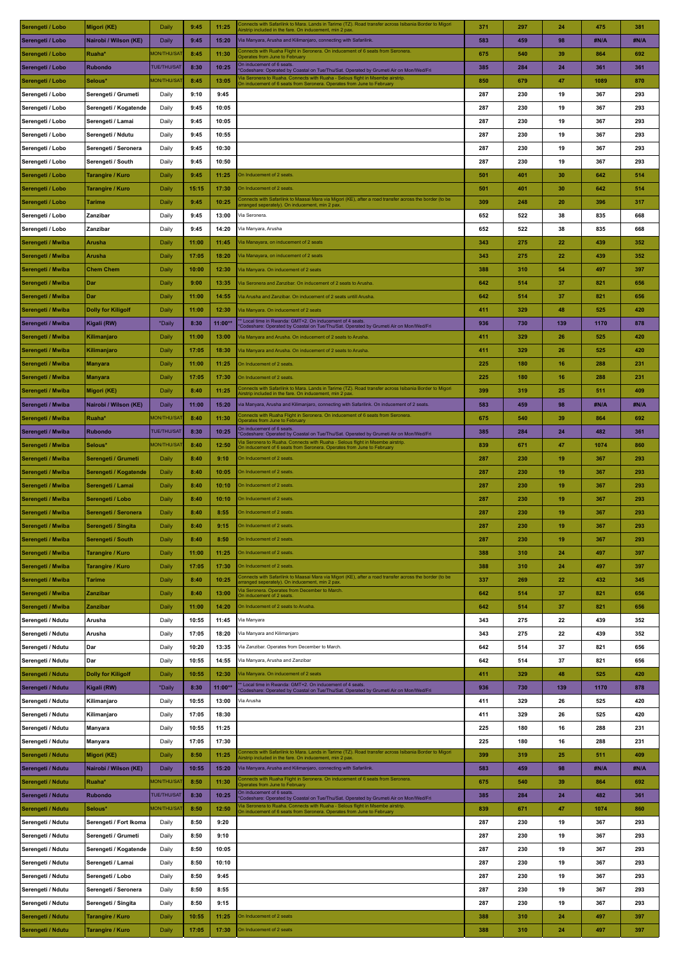| Serengeti / Lobo  | Migori (KE)               | Daily              | 9:45  | 11:25   | Connects with Safarilink to Mara. Lands in Tarime (TZ). Road transfer across Isibania Border to Migori<br>virstrip included in the fare. On inducement, min 2 pax     | 371 | 297 | 24  | 475  | 381  |
|-------------------|---------------------------|--------------------|-------|---------|-----------------------------------------------------------------------------------------------------------------------------------------------------------------------|-----|-----|-----|------|------|
| Serengeti / Lobo  | Nairobi / Wilson (KE)     | Daily              | 9:45  | 15:20   | Via Manyara, Arusha and Kilimanjaro, connecting with Safarilink.                                                                                                      | 583 | 459 | 98  | #N/A | #N/A |
| Serengeti / Lobo  | Ruaha*                    | <b>MON/THU/SAT</b> | 8:45  | 11:30   | Connects with Ruaha Flight in Seronera. On inducement of 6 seats from Seronera.                                                                                       | 675 | 540 | 39  | 864  | 692  |
|                   | Rubondo                   | TUE/THU/SAT        | 8:30  | 10:25   | Operates from June to February<br>On inducement of 6 seats                                                                                                            | 385 | 284 | 24  | 361  | 361  |
| Serengeti / Lobo  |                           |                    |       |         | Codeshare: Operated by Coastal on Tue/Thu/Sat. Operated by Grumeti Air on Mon/Wed/Fri<br>la Seronera to Ruaha. Connects with Ruaha - Selous flight in Msembe airstrip |     |     |     |      |      |
| Serengeti / Lobo  | Selous*                   | <b>MON/THU/SAT</b> | 8:45  | 13:05   | On inducement of 6 seats from Seronera. Operates from June to February                                                                                                | 850 | 679 | 47  | 1089 | 870  |
| Serengeti / Lobo  | Serengeti / Grumeti       | Daily              | 9:10  | 9:45    |                                                                                                                                                                       | 287 | 230 | 19  | 367  | 293  |
| Serengeti / Lobo  | Serengeti / Kogatende     | Daily              | 9:45  | 10:05   |                                                                                                                                                                       | 287 | 230 | 19  | 367  | 293  |
| Serengeti / Lobo  | Serengeti / Lamai         | Daily              | 9:45  | 10:05   |                                                                                                                                                                       | 287 | 230 | 19  | 367  | 293  |
| Serengeti / Lobo  | Serengeti / Ndutu         | Daily              | 9:45  | 10:55   |                                                                                                                                                                       | 287 | 230 | 19  | 367  | 293  |
| Serengeti / Lobo  | Serengeti / Seronera      | Daily              | 9:45  | 10:30   |                                                                                                                                                                       | 287 | 230 | 19  | 367  | 293  |
| Serengeti / Lobo  | Serengeti / South         | Daily              | 9:45  | 10:50   |                                                                                                                                                                       | 287 | 230 | 19  | 367  | 293  |
| Serengeti / Lobo  | <b>Tarangire / Kuro</b>   | Daily              | 9:45  | 11:25   | On Inducement of 2 seats.                                                                                                                                             | 501 | 401 | 30  | 642  | 514  |
|                   | <b>Tarangire / Kuro</b>   | Daily              | 15:15 | 17:30   | On Inducement of 2 seats.                                                                                                                                             | 501 | 401 | 30  | 642  | 514  |
| Serengeti / Lobo  |                           |                    |       |         | Connects with Safarilink to Maasai Mara via Migori (KE), after a road transfer across the border (to be                                                               |     |     |     |      |      |
| Serengeti / Lobo  | <b>Tarime</b>             | Daily              | 9:45  | 10:25   | irranged seperately). On inducement, min 2 pax                                                                                                                        | 309 | 248 | 20  | 396  | 317  |
| Serengeti / Lobo  | Zanzibar                  | Daily              | 9:45  | 13:00   | Via Seronera.                                                                                                                                                         | 652 | 522 | 38  | 835  | 668  |
| Serengeti / Lobo  | Zanzibar                  | Daily              | 9:45  | 14:20   | Via Manyara, Arusha                                                                                                                                                   | 652 | 522 | 38  | 835  | 668  |
| Serengeti / Mwiba | <b>Arusha</b>             | Daily              | 11:00 | 11:45   | Tia Manayara, on inducement of 2 seats                                                                                                                                | 343 | 275 | 22  | 439  | 352  |
| Serengeti / Mwiba | Arusha                    | Daily              | 17:05 | 18:20   | /ia Manayara, on inducement of 2 seats                                                                                                                                | 343 | 275 | 22  | 439  | 352  |
| Serengeti / Mwiba | <b>Chem Chem</b>          | Daily              | 10:00 | 12:30   | /ia Manyara. On inducement of 2 seats                                                                                                                                 | 388 | 310 | 54  | 497  | 397  |
| Serengeti / Mwiba | Dar                       | Daily              | 9:00  | 13:35   | Tia Seronera and Zanzibar. On inducement of 2 seats to Arusha.                                                                                                        | 642 | 514 | 37  | 821  | 656  |
|                   |                           |                    |       |         | Tia Arusha and Zanzibar. On inducement of 2 seats untill Arusha.                                                                                                      |     |     |     |      |      |
| Serengeti / Mwiba | Dar                       | Daily              | 11:00 | 14:55   |                                                                                                                                                                       | 642 | 514 | 37  | 821  | 656  |
| Serengeti / Mwiba | <b>Dolly for Kiligolf</b> | Daily              | 11:00 | 12:30   | /ia Manyara. On inducement of 2 seats<br>* Local time in Rwanda: GMT+2. On inducement of 4 seats.                                                                     | 411 | 329 | 48  | 525  | 420  |
| Serengeti / Mwiba | Kigali (RW)               | *Daily             | 8:30  | 11:00** | Codeshare: Operated by Coastal on Tue/Thu/Sat. Operated by Grumeti Air on Mon/Wed/Fri                                                                                 | 936 | 730 | 139 | 1170 | 878  |
| Serengeti / Mwiba | Kilimanjaro               | Daily              | 11:00 | 13:00   | /ia Manyara and Arusha. On inducement of 2 seats to Arusha.                                                                                                           | 411 | 329 | 26  | 525  | 420  |
| Serengeti / Mwiba | Kilimanjaro               | Daily              | 17:05 | 18:30   | /ia Manyara and Arusha. On inducement of 2 seats to Arusha.                                                                                                           | 411 | 329 | 26  | 525  | 420  |
| Serengeti / Mwiba | <b>Manyara</b>            | Daily              | 11:00 | 11:25   | On Inducement of 2 seats.                                                                                                                                             | 225 | 180 | 16  | 288  | 231  |
| Serengeti / Mwiba | <b>Manyara</b>            | Daily              | 17:05 | 17:30   | On Inducement of 2 seats.                                                                                                                                             | 225 | 180 | 16  | 288  | 231  |
| Serengeti / Mwiba | Migori (KE)               | Daily              | 8:40  | 11:25   | onnects with Safarilink to Mara. Lands in Tarime (TZ). Road transfer across Isibania Border to Migori'                                                                | 399 | 319 | 25  | 511  | 409  |
| Serengeti / Mwiba | Nairobi / Wilson (KE)     | Daily              | 11:00 | 15:20   | irstrip included in the fare. On inducement, min 2 pax<br>via Manyara, Arusha and Kilimanjaro, connecting with Safarilink. On inducement of 2 seats.                  | 583 | 459 | 98  | #N/A | #N/A |
|                   |                           |                    |       |         |                                                                                                                                                                       |     |     |     |      |      |
| Serengeti / Mwiba | Ruaha*                    | <b>MON/THU/SAT</b> | 8:40  | 11:30   | Connects with Ruaha Flight in Seronera. On inducement of 6 seats from Seronera.<br>Operates from June to February<br>On inducement of 6 seats                         | 675 | 540 | 39  | 864  | 692  |
| Serengeti / Mwiba | <b>Rubondo</b>            | <b>TUE/THU/SAT</b> | 8:30  | 10:25   | Codeshare: Operated by Coastal on Tue/Thu/Sat. Operated by Grumeti Air on Mon/Wed/Fri                                                                                 | 385 | 284 | 24  | 482  | 361  |
| Serengeti / Mwiba | Selous*                   | <b>MON/THU/SAT</b> | 8:40  | 12:50   | Via Seronera to Ruaha. Connects with Ruaha - Selous flight in Msembe airstrip<br>On inducement of 6 seats from Seronera. Operates from June to February               | 839 | 671 | 47  | 1074 | 860  |
| Serengeti / Mwiba | Serengeti / Grumeti       | Daily              | 8:40  | 9:10    | On Inducement of 2 seats.                                                                                                                                             | 287 | 230 | 19  | 367  | 293  |
| Serengeti / Mwiba | Serengeti / Kogatende     | Daily              | 8:40  | 10:05   | On Inducement of 2 seats.                                                                                                                                             | 287 | 230 | 19  | 367  | 293  |
| Serengeti / Mwiba | Serengeti / Lamai         | Daily              | 8:40  | 10:10   | On Inducement of 2 seats.                                                                                                                                             | 287 | 230 | 19  | 367  | 293  |
| Serengeti / Mwiba | Serengeti / Lobo          | Daily              | 8:40  | 10:10   | On Inducement of 2 seats.                                                                                                                                             | 287 | 230 | 19  | 367  | 293  |
| Serengeti / Mwiba | Serengeti / Seronera      | Daily              | 8:40  | 8:55    | On Inducement of 2 seats.                                                                                                                                             | 287 | 230 | 19  | 367  | 293  |
| Serengeti / Mwiba | Serengeti / Singita       | Daily              | 8:40  | 9:15    | On Inducement of 2 seats.                                                                                                                                             | 287 | 230 | 19  | 367  | 293  |
|                   |                           |                    |       |         |                                                                                                                                                                       |     |     |     |      |      |
| Serengeti / Mwiba | Serengeti / South         | Daily              | 8:40  | 8:50    | On Inducement of 2 seats.                                                                                                                                             | 287 | 230 | 19  | 367  | 293  |
| Serengeti / Mwiba | Tarangire / Kuro          | Daily              | 11:00 | 11:25   | On Inducement of 2 seats.                                                                                                                                             | 388 | 310 | 24  | 497  | 397  |
| Serengeti / Mwiba | Tarangire / Kuro          | Daily              | 17:05 | 17:30   | On Inducement of 2 seats.                                                                                                                                             | 388 | 310 | 24  | 497  | 397  |
| Serengeti / Mwiba | <b>Tarime</b>             | Daily              | 8:40  | 10:25   | Connects with Safarilink to Maasai Mara via Migori (KE), after a road transfer across the border (to be<br>arranged seperately). On inducement, min 2 pax.            | 337 | 269 | 22  | 432  | 345  |
| Serengeti / Mwiba | Zanzibar                  | Daily              | 8:40  | 13:00   | Ta Seronera. Operates from December to March.<br>On inducement of 2 seats.                                                                                            | 642 | 514 | 37  | 821  | 656  |
| Serengeti / Mwiba | Zanzibar                  | Daily              | 11:00 | 14:20   | On Inducement of 2 seats to Arusha.                                                                                                                                   | 642 | 514 | 37  | 821  | 656  |
| Serengeti / Ndutu | Arusha                    | Daily              | 10:55 | 11:45   | Via Manyara                                                                                                                                                           | 343 | 275 | 22  | 439  | 352  |
| Serengeti / Ndutu | Arusha                    | Daily              | 17:05 | 18:20   | Via Manyara and Kilimanjaro                                                                                                                                           | 343 | 275 | 22  | 439  | 352  |
|                   | Dar                       |                    | 10:20 | 13:35   | Via Zanzibar. Operates from December to March.                                                                                                                        | 642 | 514 | 37  | 821  | 656  |
| Serengeti / Ndutu |                           | Daily              |       |         |                                                                                                                                                                       |     |     |     |      |      |
| Serengeti / Ndutu | Dar                       | Daily              | 10:55 | 14:55   | Via Manyara, Arusha and Zanzibar                                                                                                                                      | 642 | 514 | 37  | 821  | 656  |
| Serengeti / Ndutu | <b>Dolly for Kiligolf</b> | Daily              | 10:55 | 12:30   | Via Manyara. On inducement of 2 seats                                                                                                                                 | 411 | 329 | 48  | 525  | 420  |
| Serengeti / Ndutu | Kigali (RW)               | *Daily             | 8:30  | 11:00** | * Local time in Rwanda: GMT+2. On inducement of 4 seats.<br>Codeshare: Operated by Coastal on Tue/Thu/Sat. Operated by Grumeti Air on Mon/Wed/Fri                     | 936 | 730 | 139 | 1170 | 878  |
| Serengeti / Ndutu | Kilimanjaro               | Daily              | 10:55 | 13:00   | Via Arusha                                                                                                                                                            | 411 | 329 | 26  | 525  | 420  |
| Serengeti / Ndutu | Kilimanjaro               | Daily              | 17:05 | 18:30   |                                                                                                                                                                       | 411 | 329 | 26  | 525  | 420  |
| Serengeti / Ndutu | Manyara                   | Daily              | 10:55 | 11:25   |                                                                                                                                                                       | 225 | 180 | 16  | 288  | 231  |
| Serengeti / Ndutu | Manyara                   | Daily              | 17:05 | 17:30   |                                                                                                                                                                       | 225 | 180 | 16  | 288  | 231  |
| Serengeti / Ndutu | Migori (KE)               | Daily              | 8:50  | 11:25   | Connects with Safarilink to Mara. Lands in Tarime (TZ). Road transfer across Isibania Border to Migori<br>virstrip included in the fare. On inducement, min 2 pax     | 399 | 319 | 25  | 511  | 409  |
| Serengeti / Ndutu | Nairobi / Wilson (KE)     | Daily              | 10:55 | 15:20   | Via Manyara, Arusha and Kilimanjaro, connecting with Safarilink.                                                                                                      | 583 | 459 | 98  | #N/A | #N/A |
|                   |                           | <b>MON/THU/SAT</b> |       |         | Connects with Ruaha Flight in Seronera. On inducement of 6 seats from Seronera.                                                                                       |     |     |     |      |      |
| Serengeti / Ndutu | Ruaha*                    |                    | 8:50  | 11:30   | Operates from June to February<br>On inducement of 6 seats.                                                                                                           | 675 | 540 | 39  | 864  | 692  |
| Serengeti / Ndutu | <b>Rubondo</b>            | <b>TUE/THU/SAT</b> | 8:30  | 10:25   | Codeshare: Operated by Coastal on Tue/Thu/Sat. Operated by Grumeti Air on Mon/Wed/Fri                                                                                 | 385 | 284 | 24  | 482  | 361  |
| Serengeti / Ndutu | Selous*                   | <b>MON/THU/SAT</b> | 8:50  | 12:50   | la Seronera to Ruaha. Connects with Ruaha - Selous flight in Msembe airstrip<br>On inducement of 6 seats from Seronera. Operates from June to February                | 839 | 671 | 47  | 1074 | 860  |
| Serengeti / Ndutu | Serengeti / Fort Ikoma    | Daily              | 8:50  | 9:20    |                                                                                                                                                                       | 287 | 230 | 19  | 367  | 293  |
| Serengeti / Ndutu | Serengeti / Grumeti       | Daily              | 8:50  | 9:10    |                                                                                                                                                                       | 287 | 230 | 19  | 367  | 293  |
| Serengeti / Ndutu | Serengeti / Kogatende     | Daily              | 8:50  | 10:05   |                                                                                                                                                                       | 287 | 230 | 19  | 367  | 293  |
| Serengeti / Ndutu | Serengeti / Lamai         | Daily              | 8:50  | 10:10   |                                                                                                                                                                       | 287 | 230 | 19  | 367  | 293  |
| Serengeti / Ndutu | Serengeti / Lobo          | Daily              | 8:50  | 9:45    |                                                                                                                                                                       | 287 | 230 | 19  | 367  | 293  |
| Serengeti / Ndutu | Serengeti / Seronera      | Daily              | 8:50  | 8:55    |                                                                                                                                                                       | 287 | 230 | 19  | 367  | 293  |
|                   |                           |                    |       |         |                                                                                                                                                                       |     |     |     |      |      |
| Serengeti / Ndutu | Serengeti / Singita       | Daily              | 8:50  | 9:15    |                                                                                                                                                                       | 287 | 230 | 19  | 367  | 293  |
| Serengeti / Ndutu | <b>Tarangire / Kuro</b>   | Daily              | 10:55 | 11:25   | On Inducement of 2 seats                                                                                                                                              | 388 | 310 | 24  | 497  | 397  |
| Serengeti / Ndutu | Tarangire / Kuro          | Daily              | 17:05 | 17:30   | On Inducement of 2 seats                                                                                                                                              | 388 | 310 | 24  | 497  | 397  |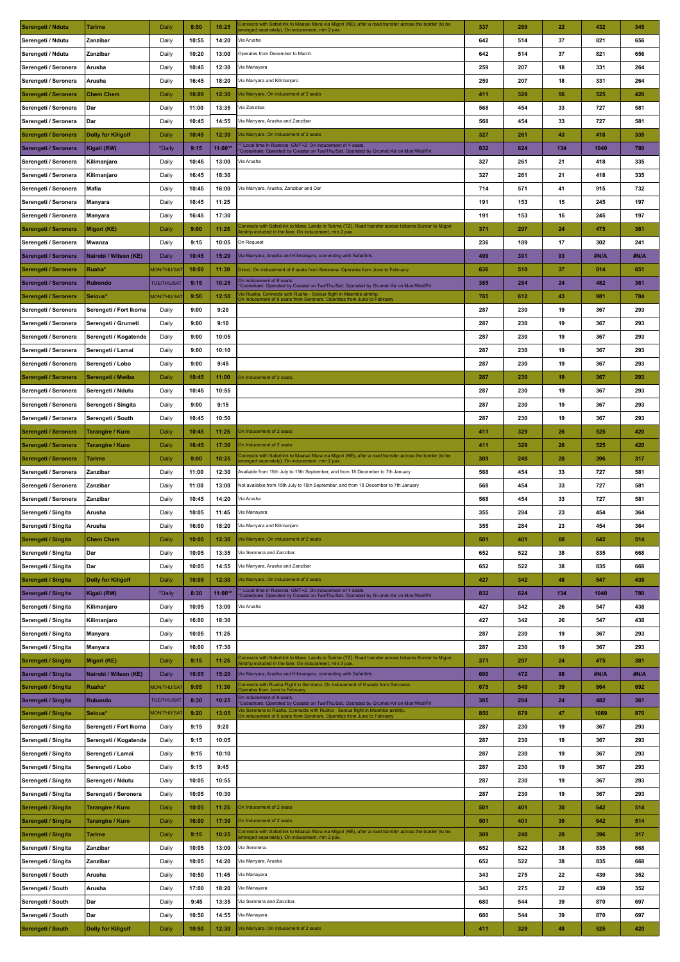| Serengeti / Ndutu    | Tarime                    | Daily              | 8:50  | 10:25     | Connects with Safarilink to Maasai Mara via Migori (KE), after a road transfer across the border (to be<br>arranged seperately). On inducement, min 2 pax.       | 337 | 269 | 22  | 432  | 345  |
|----------------------|---------------------------|--------------------|-------|-----------|------------------------------------------------------------------------------------------------------------------------------------------------------------------|-----|-----|-----|------|------|
| Serengeti / Ndutu    | Zanzibar                  | Daily              | 10:55 | 14:20     | Via Arusha                                                                                                                                                       | 642 | 514 | 37  | 821  | 656  |
| Serengeti / Ndutu    | Zanzibar                  | Daily              | 10:20 | 13:00     | Operates from December to March.                                                                                                                                 | 642 | 514 | 37  | 821  | 656  |
| Serengeti / Seronera | Arusha                    | Daily              | 10:45 | 12:30     | Via Manayara                                                                                                                                                     | 259 | 207 | 18  | 331  | 264  |
| Serengeti / Seronera | Arusha                    | Daily              | 16:45 | 18:20     | Via Manyara and Kilimanjaro                                                                                                                                      | 259 | 207 | 18  | 331  | 264  |
|                      |                           |                    |       |           |                                                                                                                                                                  |     |     |     |      |      |
| Serengeti / Seronera | <b>Chem Chem</b>          | Daily              | 10:00 | 12:30     | Via Manyara. On inducement of 2 seats                                                                                                                            | 411 | 329 | 56  | 525  | 420  |
| Serengeti / Seronera | Dar                       | Daily              | 11:00 | 13:35     | Via Zanzibar.                                                                                                                                                    | 568 | 454 | 33  | 727  | 581  |
| Serengeti / Seronera | Dar                       | Daily              | 10:45 | 14:55     | Via Manyara, Arusha and Zanzibar                                                                                                                                 | 568 | 454 | 33  | 727  | 581  |
| Serengeti / Seronera | <b>Dolly for Kiligolf</b> | Daily              | 10:45 | 12:30     | Via Manyara. On inducement of 2 seats                                                                                                                            | 327 | 261 | 43  | 418  | 335  |
| Serengeti / Seronera | Kigali (RW)               | *Daily             | 9:15  | $11:00**$ | * Local time in Rwanda: GMT+2. On inducement of 4 seats<br>Codeshare: Operated by Coastal on Tue/Thu/Sat. Operated by Grumeti Air on Mon/Wed/Fri                 | 832 | 624 | 134 | 1040 | 780  |
| Serengeti / Seronera | Kilimanjaro               | Daily              | 10:45 | 13:00     | Via Arusha                                                                                                                                                       | 327 | 261 | 21  | 418  | 335  |
| Serengeti / Seronera | Kilimanjaro               | Daily              | 16:45 | 18:30     |                                                                                                                                                                  | 327 | 261 | 21  | 418  | 335  |
| Serengeti / Seronera | Mafia                     | Daily              | 10:45 | 16:00     | Via Manyara, Arusha, Zanzibar and Dar                                                                                                                            | 714 | 571 | 41  | 915  | 732  |
| Serengeti / Seronera | Manyara                   | Daily              | 10:45 | 11:25     |                                                                                                                                                                  | 191 | 153 | 15  | 245  | 197  |
| Serengeti / Seronera |                           | Daily              | 16:45 | 17:30     |                                                                                                                                                                  | 191 | 153 | 15  | 245  | 197  |
|                      | Manyara                   |                    |       |           | Connects with Safarilink to Mara. Lands in Tarime (TZ). Road transfer across Isibania Border to Migori                                                           |     |     |     |      |      |
| Serengeti / Seronera | Migori (KE)               | Daily              | 9:00  | 11:25     | Airstrip included in the fare. On inducement, min 2 pax.                                                                                                         | 371 | 297 | 24  | 475  | 381  |
| Serengeti / Seronera | Mwanza                    | Daily              | 9:15  | 10:05     | On Request                                                                                                                                                       | 236 | 189 | 17  | 302  | 241  |
| Serengeti / Seronera | Nairobi / Wilson (KE)     | Daily              | 10:45 | 15:20     | Via Manyara, Arusha and Kilimanjaro, connecting with Safarilink.                                                                                                 | 499 | 391 | 93  | #N/A | #N/A |
| Serengeti / Seronera | Ruaha*                    | <b>MON/THU/SAT</b> | 10:00 | 11:30     | Direct. On inducement of 6 seats from Seronera. Operates from June to February                                                                                   | 636 | 510 | 37  | 814  | 651  |
| Serengeti / Seronera | <b>Rubondo</b>            | <b>TUE/THU/SAT</b> | 9:15  | 10:25     | On inducement of 6 seats.<br>Codeshare: Operated by Coastal on Tue/Thu/Sat. Operated by Grumeti Air on Mon/Wed/Fri                                               | 385 | 284 | 24  | 482  | 361  |
| Serengeti / Seronera | Selous*                   | <b>MON/THU/SAT</b> | 9:50  | 12:50     | fia Ruaha. Connects with Ruaha - Selous flight in Msembe airstrip<br>On inducement of 6 seats from Seronera. Operates from June to February                      | 765 | 612 | 43  | 981  | 784  |
| Serengeti / Seronera | Serengeti / Fort Ikoma    | Daily              | 9:00  | 9:20      |                                                                                                                                                                  | 287 | 230 | 19  | 367  | 293  |
| Serengeti / Seronera | Serengeti / Grumeti       | Daily              | 9:00  | 9:10      |                                                                                                                                                                  | 287 | 230 | 19  | 367  | 293  |
| Serengeti / Seronera | Serengeti / Kogatende     | Daily              | 9:00  | 10:05     |                                                                                                                                                                  | 287 | 230 | 19  | 367  | 293  |
| Serengeti / Seronera | Serengeti / Lamai         | Daily              | 9:00  | 10:10     |                                                                                                                                                                  | 287 | 230 | 19  | 367  | 293  |
|                      |                           |                    |       |           |                                                                                                                                                                  |     |     |     |      |      |
| Serengeti / Seronera | Serengeti / Lobo          | Daily              | 9:00  | 9:45      |                                                                                                                                                                  | 287 | 230 | 19  | 367  | 293  |
| Serengeti / Seronera | Serengeti / Mwiba         | Daily              | 10:45 | 11:00     | On Inducement of 2 seats                                                                                                                                         | 287 | 230 | 19  | 367  | 293  |
| Serengeti / Seronera | Serengeti / Ndutu         | Daily              | 10:45 | 10:55     |                                                                                                                                                                  | 287 | 230 | 19  | 367  | 293  |
| Serengeti / Seronera | Serengeti / Singita       | Daily              | 9:00  | 9:15      |                                                                                                                                                                  | 287 | 230 | 19  | 367  | 293  |
| Serengeti / Seronera | Serengeti / South         | Daily              | 10:45 | 10:50     |                                                                                                                                                                  | 287 | 230 | 19  | 367  | 293  |
| Serengeti / Seronera | <b>Tarangire / Kuro</b>   | Daily              | 10:45 | 11:25     | On Inducement of 2 seats                                                                                                                                         | 411 | 329 | 26  | 525  | 420  |
| Serengeti / Seronera | Tarangire / Kuro          | Daily              | 16:45 | 17:30     | On Inducement of 2 seats                                                                                                                                         | 411 | 329 | 26  | 525  | 420  |
| Serengeti / Seronera | <b>Tarime</b>             | Daily              | 9:00  | 10:25     | Connects with Safarilink to Maasai Mara via Migori (KE), after a road transfer across the border (to be                                                          | 309 | 248 | 20  | 396  | 317  |
| Serengeti / Seronera | Zanzibar                  | Daily              | 11:00 | 12:30     | arranged seperately). On inducement, min 2 pax<br>Available from 15th July to 15th September, and from 18 December to 7th January                                | 568 | 454 | 33  | 727  | 581  |
| Serengeti / Seronera | Zanzibar                  | Daily              | 11:00 | 13:00     | Not available from 15th July to 15th September, and from 18 December to 7th January                                                                              | 568 | 454 | 33  | 727  | 581  |
|                      |                           |                    |       |           |                                                                                                                                                                  |     |     |     |      |      |
| Serengeti / Seronera | Zanzibar                  | Daily              | 10:45 | 14:20     | Via Arusha                                                                                                                                                       | 568 | 454 | 33  | 727  | 581  |
| Serengeti / Singita  | Arusha                    | Daily              | 10:05 | 11:45     | Via Manayara                                                                                                                                                     | 355 | 284 | 23  | 454  | 364  |
| Serengeti / Singita  | Arusha                    | Daily              | 16:00 | 18:20     | Via Manyara and Kilimanjaro                                                                                                                                      | 355 | 284 | 23  | 454  | 364  |
| Serengeti / Singita  | <b>Chem Chem</b>          | Daily              | 10:00 | 12:30     | Via Manyara. On inducement of 2 seats                                                                                                                            | 501 | 401 | 60  | 642  | 514  |
| Serengeti / Singita  | Dar                       | Daily              | 10:05 | 13:35     | Via Seronera and Zanzibar.                                                                                                                                       | 652 | 522 | 38  | 835  | 668  |
| Serengeti / Singita  | Dar                       | Daily              | 10:05 | 14:55     | Via Manyara, Arusha and Zanzibar                                                                                                                                 | 652 | 522 | 38  | 835  | 668  |
| Serengeti / Singita  | <b>Dolly for Kiligolf</b> | Daily              | 10:05 | 12:30     | Via Manyara. On inducement of 2 seats                                                                                                                            | 427 | 342 | 48  | 547  | 438  |
| Serengeti / Singita  | Kigali (RW)               | *Daily             | 8:30  | $11:00**$ | * Local time in Rwanda: GMT+2. On inducement of 4 seats.<br>'Codeshare: Operated by Coastal on Tue/Thu/Sat. Operated by Grumeti Air on Mon/Wed/Fri               | 832 | 624 | 134 | 1040 | 780  |
| Serengeti / Singita  | Kilimanjaro               | Daily              | 10:05 | 13:00     | Via Arusha                                                                                                                                                       | 427 | 342 | 26  | 547  | 438  |
|                      |                           |                    |       |           |                                                                                                                                                                  |     |     |     |      |      |
| Serengeti / Singita  | Kilimanjaro               | Daily              | 16:00 | 18:30     |                                                                                                                                                                  | 427 | 342 | 26  | 547  | 438  |
| Serengeti / Singita  | <b>Manyara</b>            | Daily              | 10:05 | 11:25     |                                                                                                                                                                  | 287 | 230 | 19  | 367  | 293  |
| Serengeti / Singita  | Manyara                   | Daily              | 16:00 | 17:30     |                                                                                                                                                                  | 287 | 230 | 19  | 367  | 293  |
| Serengeti / Singita  | Migori (KE)               | Daily              | 9:15  | 11:25     | Connects with Safarilink to Mara. Lands in Tarime (TZ). Road transfer across Isibania Border to Migori<br>irstrip included in the fare. On inducement, min 2 pax | 371 | 297 | 24  | 475  | 381  |
| Serengeti / Singita  | Nairobi / Wilson (KE)     | <b>Daily</b>       | 10:05 | 15:20     | Via Manyara, Arusha and Kilimanjaro, connecting with Safarilink.                                                                                                 | 600 | 472 | 98  | #N/A | #N/A |
| Serengeti / Singita  | Ruaha*                    | <b>MON/THU/SAT</b> | 9:05  | 11:30     | Connects with Ruaha Flight in Seronera. On inducement of 6 seats from Seronera.<br>perates from June to February                                                 | 675 | 540 | 39  | 864  | 692  |
| Serengeti / Singita  | <b>Rubondo</b>            | <b>TUE/THU/SAT</b> | 8:30  | 10:25     | On inducement of 6 seats.<br>Codeshare: Operated by Coastal on Tue/Thu/Sat. Operated by Grumeti Air on Mon/Wed/Fri                                               | 385 | 284 | 24  | 482  | 361  |
| Serengeti / Singita  | Selous*                   | <b>MON/THU/SAT</b> | 9:20  | 13:05     | Ta Seronera to Ruaha. Connects with Ruaha - Selous flight in Msembe airstrip<br>On inducement of 6 seats from Seronera. Operates from June to February           | 850 | 679 | 47  | 1089 | 870  |
| Serengeti / Singita  | Serengeti / Fort Ikoma    | Daily              | 9:15  | 9:20      |                                                                                                                                                                  | 287 | 230 | 19  | 367  | 293  |
| Serengeti / Singita  | Serengeti / Kogatende     | Daily              | 9:15  | 10:05     |                                                                                                                                                                  | 287 | 230 | 19  | 367  | 293  |
| Serengeti / Singita  | Serengeti / Lamai         | Daily              | 9:15  | 10:10     |                                                                                                                                                                  | 287 | 230 | 19  | 367  | 293  |
| Serengeti / Singita  | Serengeti / Lobo          | Daily              | 9:15  | 9:45      |                                                                                                                                                                  | 287 | 230 | 19  | 367  | 293  |
| Serengeti / Singita  | Serengeti / Ndutu         | Daily              | 10:05 | 10:55     |                                                                                                                                                                  | 287 | 230 | 19  | 367  | 293  |
|                      |                           |                    |       |           |                                                                                                                                                                  |     |     |     |      |      |
| Serengeti / Singita  | Serengeti / Seronera      | Daily              | 10:05 | 10:30     |                                                                                                                                                                  | 287 | 230 | 19  | 367  | 293  |
| Serengeti / Singita  | <b>Tarangire / Kuro</b>   | Daily              | 10:05 | 11:25     | On Inducement of 2 seats                                                                                                                                         | 501 | 401 | 30  | 642  | 514  |
| Serengeti / Singita  | <b>Tarangire / Kuro</b>   | Daily              | 16:00 | 17:30     | On Inducement of 2 seats                                                                                                                                         | 501 | 401 | 30  | 642  | 514  |
| Serengeti / Singita  | <b>Tarime</b>             | Daily              | 9:15  | 10:25     | Connects with Safarilink to Maasai Mara via Migori (KE), after a road transfer across the border (to be<br>arranged seperately). On inducement, min 2 pax        | 309 | 248 | 20  | 396  | 317  |
| Serengeti / Singita  | Zanzibar                  | Daily              | 10:05 | 13:00     | Via Seronera.                                                                                                                                                    | 652 | 522 | 38  | 835  | 668  |
| Serengeti / Singita  | Zanzibar                  | Daily              | 10:05 | 14:20     | Via Manyara, Arusha                                                                                                                                              | 652 | 522 | 38  | 835  | 668  |
| Serengeti / South    | Arusha                    | Daily              | 10:50 | 11:45     | Via Manayara                                                                                                                                                     | 343 | 275 | 22  | 439  | 352  |
| Serengeti / South    | Arusha                    | Daily              | 17:00 | 18:20     | Via Manayara                                                                                                                                                     | 343 | 275 | 22  | 439  | 352  |
| Serengeti / South    | Dar                       | Daily              | 9:45  | 13:35     | Via Seronera and Zanzibar.                                                                                                                                       | 680 | 544 | 39  | 870  | 697  |
| Serengeti / South    | Dar                       | Daily              | 10:50 | 14:55     | Via Manayara                                                                                                                                                     | 680 | 544 | 39  | 870  | 697  |
|                      | <b>Dolly for Kiligolf</b> | Daily              | 10:50 | 12:30     | Via Manyara. On inducement of 2 seats                                                                                                                            | 411 | 329 | 48  | 525  | 420  |
| Serengeti / South    |                           |                    |       |           |                                                                                                                                                                  |     |     |     |      |      |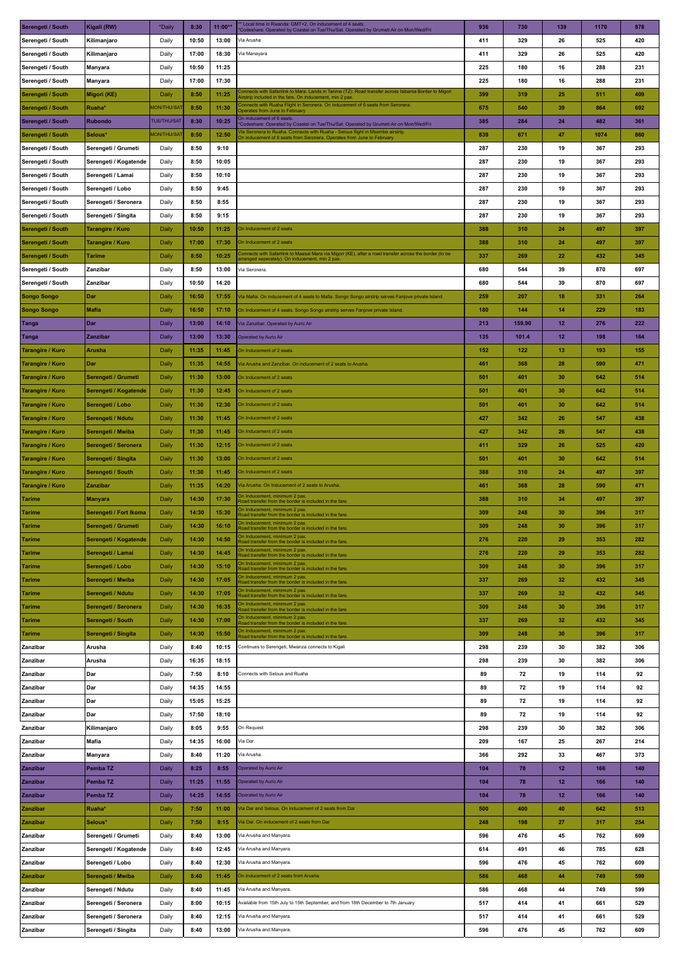| Serengeti / South       | Kigali (RW)            | *Daily             | 8:30  | $11:00**$ | Local time in Rwanda: GMT+2. On inducement of 4 seats.<br>Codeshare: Operated by Coastal on Tue/Thu/Sat. Operated by Grumeti Air on Mon/Wed/Fri         | 936 | 730    | 139 | 1170 | 878 |
|-------------------------|------------------------|--------------------|-------|-----------|---------------------------------------------------------------------------------------------------------------------------------------------------------|-----|--------|-----|------|-----|
| Serengeti / South       | Kilimanjaro            | Daily              | 10:50 | 13:00     | Via Arusha                                                                                                                                              | 411 | 329    | 26  | 525  | 420 |
| Serengeti / South       | Kilimanjaro            | Daily              | 17:00 | 18:30     | Via Manayara                                                                                                                                            | 411 | 329    | 26  | 525  | 420 |
| Serengeti / South       | Manyara                | Daily              | 10:50 | 11:25     |                                                                                                                                                         | 225 | 180    | 16  | 288  | 231 |
| Serengeti / South       |                        | Daily              | 17:00 | 17:30     |                                                                                                                                                         | 225 | 180    | 16  | 288  | 231 |
|                         | Manyara                |                    |       |           | onnects with Safarilink to Mara. Lands in Tarime (TZ). Road transfer across Isibania Border to Migori'                                                  |     |        |     |      |     |
| Serengeti / South       | Migori (KE)            | Daily              | 8:50  | 11:25     | Airstrip included in the fare. On inducement, min 2 pax.                                                                                                | 399 | 319    | 25  | 511  | 409 |
| Serengeti / South       | Ruaha*                 | <b>MON/THU/SAT</b> | 8:50  | 11:30     | Connects with Ruaha Flight in Seronera. On inducement of 6 seats from Seronera.<br>Operates from June to February<br>On inducement of 6 seats           | 675 | 540    | 39  | 864  | 692 |
| Serengeti / South       | Rubondo                | <b>TUE/THU/SAT</b> | 8:30  | 10:25     | Codeshare: Operated by Coastal on Tue/Thu/Sat. Operated by Grumeti Air on Mon/Wed/Fri                                                                   | 385 | 284    | 24  | 482  | 361 |
| Serengeti / South       | Selous*                | <b>MON/THU/SAT</b> | 8:50  | 12:50     | Via Seronera to Ruaha. Connects with Ruaha - Selous flight in Msembe airstrip<br>On inducement of 6 seats from Seronera. Operates from June to February | 839 | 671    | 47  | 1074 | 860 |
| Serengeti / South       | Serengeti / Grumeti    | Daily              | 8:50  | 9:10      |                                                                                                                                                         | 287 | 230    | 19  | 367  | 293 |
| Serengeti / South       | Serengeti / Kogatende  | Daily              | 8:50  | 10:05     |                                                                                                                                                         | 287 | 230    | 19  | 367  | 293 |
| Serengeti / South       | Serengeti / Lamai      | Daily              | 8:50  | 10:10     |                                                                                                                                                         | 287 | 230    | 19  | 367  | 293 |
| Serengeti / South       | Serengeti / Lobo       | Daily              | 8:50  | 9:45      |                                                                                                                                                         | 287 | 230    | 19  | 367  | 293 |
| Serengeti / South       | Serengeti / Seronera   | Daily              | 8:50  | 8:55      |                                                                                                                                                         | 287 | 230    | 19  | 367  | 293 |
| Serengeti / South       | Serengeti / Singita    | Daily              | 8:50  | 9:15      |                                                                                                                                                         | 287 | 230    | 19  | 367  | 293 |
| Serengeti / South       | Tarangire / Kuro       | Daily              | 10:50 | 11:25     | On Inducement of 2 seats                                                                                                                                | 388 | 310    | 24  | 497  | 397 |
|                         |                        |                    |       |           | On Inducement of 2 seats                                                                                                                                |     |        |     |      |     |
| Serengeti / South       | Tarangire / Kuro       | Daily              | 17:00 | 17:30     | Connects with Safarilink to Maasai Mara via Migori (KE), after a road transfer across the border (to be                                                 | 388 | 310    | 24  | 497  | 397 |
| Serengeti / South       | Tarime                 | Daily              | 8:50  | 10:25     | arranged seperately). On inducement, min 2 pax.                                                                                                         | 337 | 269    | 22  | 432  | 345 |
| Serengeti / South       | Zanzibar               | Daily              | 8:50  | 13:00     | Via Seronera.                                                                                                                                           | 680 | 544    | 39  | 870  | 697 |
| Serengeti / South       | Zanzibar               | Daily              | 10:50 | 14:20     |                                                                                                                                                         | 680 | 544    | 39  | 870  | 697 |
| <b>Songo Songo</b>      | Dar                    | Daily              | 16:50 | 17:55     | Via Mafia. On inducement of 4 seats to Mafia. Songo Songo airstrip serves Fanjove private Island.                                                       | 259 | 207    | 18  | 331  | 264 |
| <b>Songo Songo</b>      | <b>Mafia</b>           | Daily              | 16:50 | 17:10     | On Inducement of 4 seats. Songo Songo airstrip serves Fanjove private Island.                                                                           | 180 | 144    | 14  | 229  | 183 |
| <b>Tanga</b>            | Dar                    | Daily              | 13:00 | 14:10     | Via Zanzibar. Operated by Auric Air                                                                                                                     | 213 | 159.90 | 12  | 276  | 222 |
| Tanga                   | Zanzibar               | Daily              | 13:00 | 13:30     | Operated by Auric Air                                                                                                                                   | 135 | 101.4  | 12  | 198  | 164 |
| Tarangire / Kuro        | Arusha                 | Daily              | 11:35 | 11:45     | On Inducement of 2 seats                                                                                                                                | 152 | 122    | 13  | 193  | 155 |
| Tarangire / Kuro        | Dar                    | Daily              | 11:35 | 14:55     | <i>V</i> ia Arusha and Zanzibar. On inducement of 2 seats to Arusha.                                                                                    | 461 | 368    | 28  | 590  | 471 |
| Tarangire / Kuro        | Serengeti / Grumeti    | Daily              | 11:30 | 13:00     | On Inducement of 2 seats                                                                                                                                | 501 | 401    | 30  | 642  | 514 |
|                         |                        |                    | 11:30 | 12:45     | On Inducement of 2 seats                                                                                                                                |     | 401    | 30  | 642  | 514 |
| Tarangire / Kuro        | Serengeti / Kogatende  | Daily              |       |           |                                                                                                                                                         | 501 |        |     |      |     |
| Tarangire / Kuro        | Serengeti / Lobo       | Daily              | 11:30 | 12:30     | On Inducement of 2 seats                                                                                                                                | 501 | 401    | 30  | 642  | 514 |
| Tarangire / Kuro        | Serengeti / Ndutu      | Daily              | 11:30 | 11:45     | On Inducement of 2 seats                                                                                                                                | 427 | 342    | 26  | 547  | 438 |
| Tarangire / Kuro        | Serengeti / Mwiba      | Daily              | 11:30 | 11:45     | On Inducement of 2 seats                                                                                                                                | 427 | 342    | 26  | 547  | 438 |
| Tarangire / Kuro        | Serengeti / Seronera   | Daily              | 11:30 | 12:15     | On Inducement of 2 seats                                                                                                                                | 411 | 329    | 26  | 525  | 420 |
| Tarangire / Kuro        | Serengeti / Singita    | Daily              | 11:30 | 13:00     | On Inducement of 2 seats                                                                                                                                | 501 | 401    | 30  | 642  | 514 |
| Tarangire / Kuro        | Serengeti / South      | Daily              | 11:30 | 11:45     | On Inducement of 2 seats                                                                                                                                | 388 | 310    | 24  | 497  | 397 |
| <b>Tarangire / Kuro</b> | Zanzibar               | Daily              | 11:35 | 14:20     | Via Arusha. On Inducement of 2 seats to Arusha.                                                                                                         | 461 | 368    | 28  | 590  | 471 |
| Tarime                  | Manyara                | Daily              | 14:30 | 17:30     | On Inducement, minimum 2 pax.<br>Road transfer from the border is included in the fare.                                                                 | 388 | 310    | 34  | 497  | 397 |
| <b>Tarime</b>           | Serengeti / Fort Ikoma | Daily              | 14:30 | 15:30     | )n Inducement, minimum 2 pax.<br>load transfer from the border is included in the fare.                                                                 | 309 | 248    | 30  | 396  | 317 |
| <b>Tarime</b>           | Serengeti / Grumeti    | Daily              | 14:30 | 16:10     | On Inducement, minimum 2 pax.<br>Road transfer from the border is included in the fare.                                                                 | 309 | 248    | 30  | 396  | 317 |
| <b>Tarime</b>           | Serengeti / Kogatende  | Daily              | 14:30 | 14:50     | On Inducement, minimum 2 pax.<br>Road transfer from the border is included in the fare.                                                                 | 276 | 220    | 29  | 353  | 282 |
| <b>Tarime</b>           | Serengeti / Lamai      | Daily              | 14:30 | 14:45     | In Inducement, minimum 2 pax.<br>load transfer from the border is included in the fare.                                                                 | 276 | 220    | 29  | 353  | 282 |
| <b>Tarime</b>           | Serengeti / Lobo       | Daily              | 14:30 | 15:10     | In Inducement, minimum 2 pax.<br>toad transfer from the border is included in the fare.                                                                 | 309 | 248    | 30  | 396  | 317 |
| <b>Tarime</b>           | Serengeti / Mwiba      | Daily              | 14:30 | 17:05     | )n Inducement, minimum 2 pax                                                                                                                            | 337 | 269    | 32  | 432  | 345 |
| <b>Tarime</b>           | Serengeti / Ndutu      | Daily              | 14:30 | 17:05     | Road transfer from the border is included in the fare.<br>)n Inducement, minimum 2 pax                                                                  | 337 | 269    | 32  | 432  | 345 |
| <b>Tarime</b>           |                        | Daily              | 14:30 | 16:35     | Road transfer from the border is included in the fare.<br>On Inducement, minimum 2 pax.                                                                 | 309 | 248    | 30  | 396  | 317 |
|                         | Serengeti / Seronera   |                    |       |           | Road transfer from the border is included in the fare.<br>)n Inducement, minimum 2 pax                                                                  |     |        |     |      |     |
| <b>Tarime</b>           | Serengeti / South      | Daily              | 14:30 | 17:00     | Road transfer from the border is included in the fare.<br>On Inducement, minimum 2 pax                                                                  | 337 | 269    | 32  | 432  | 345 |
| <b>Tarime</b>           | Serengeti / Singita    | Daily              | 14:30 | 15:50     | Road transfer from the border is included in the fare.                                                                                                  | 309 | 248    | 30  | 396  | 317 |
| Zanzibar                | Arusha                 | Daily              | 8:40  | 10:15     | Continues to Serengeti, Mwanza connects to Kigali                                                                                                       | 298 | 239    | 30  | 382  | 306 |
| Zanzibar                | Arusha                 | Daily              | 16:35 | 18:15     |                                                                                                                                                         | 298 | 239    | 30  | 382  | 306 |
| Zanzibar                | Dar                    | Daily              | 7:50  | 8:10      | Connects with Selous and Ruaha                                                                                                                          | 89  | 72     | 19  | 114  | 92  |
| Zanzibar                | Dar                    | Daily              | 14:35 | 14:55     |                                                                                                                                                         | 89  | 72     | 19  | 114  | 92  |
| Zanzibar                | Dar                    | Daily              | 15:05 | 15:25     |                                                                                                                                                         | 89  | 72     | 19  | 114  | 92  |
| Zanzibar                | Dar                    | Daily              | 17:50 | 18:10     |                                                                                                                                                         | 89  | 72     | 19  | 114  | 92  |
| Zanzibar                | Kilimanjaro            | Daily              | 8:05  | 9:55      | On Request                                                                                                                                              | 298 | 239    | 30  | 382  | 306 |
| Zanzibar                | Mafia                  | Daily              | 14:35 | 16:00     | Via Dar.                                                                                                                                                | 209 | 167    | 25  | 267  | 214 |
| Zanzibar                | Manyara                | Daily              | 8:40  | 11:20     | Via Arusha                                                                                                                                              | 366 | 292    | 33  | 467  | 373 |
| Zanzibar                | Pemba TZ               | Daily              | 8:25  | 8:55      | Operated by Auric Air                                                                                                                                   | 104 | 78     | 12  | 166  | 140 |
|                         |                        |                    |       |           | <b>Operated by Auric Air</b>                                                                                                                            |     | 78     | 12  | 166  | 140 |
| Zanzibar                | Pemba TZ               | Daily              | 11:25 | 11:55     |                                                                                                                                                         | 104 |        |     |      |     |
| Zanzibar                | Pemba TZ               | Daily              | 14:25 | 14:55     | Operated by Auric Air                                                                                                                                   | 104 | 78     | 12  | 166  | 140 |
| l Zanzibar              | Ruaha*                 | Daily              | 7:50  | 11:00     | Via Dar and Selous. On inducement of 2 seats from Dar                                                                                                   | 500 | 400    | 40  | 642  | 513 |
| Zanzibar                | Selous*                | Daily              | 7:50  | 9:15      | Via Dar. On inducement of 2 seats from Dar                                                                                                              | 248 | 198    | 27  | 317  | 254 |
| Zanzibar                | Serengeti / Grumeti    | Daily              | 8:40  | 13:00     | Via Arusha and Manyara.                                                                                                                                 | 596 | 476    | 45  | 762  | 609 |
| Zanzibar                | Serengeti / Kogatende  | Daily              | 8:40  | 12:45     | Via Arusha and Manyara.                                                                                                                                 | 614 | 491    | 46  | 785  | 628 |
| Zanzibar                | Serengeti / Lobo       | Daily              | 8:40  | 12:30     | Via Arusha and Manyara.                                                                                                                                 | 596 | 476    | 45  | 762  | 609 |
| Zanzibar                | Serengeti / Mwiba      | Daily              | 8:40  | 11:45     | On Inducement of 2 seats from Arusha                                                                                                                    | 586 | 468    | 44  | 749  | 599 |
| Zanzibar                | Serengeti / Ndutu      | Daily              | 8:40  | 11:45     | Via Arusha and Manyara.                                                                                                                                 | 586 | 468    | 44  | 749  | 599 |
| Zanzibar                | Serengeti / Seronera   | Daily              | 8:00  | 10:15     | Available from 15th July to 15th September, and from 18th December to 7th January                                                                       | 517 | 414    | 41  | 661  | 529 |
| Zanzibar                | Serengeti / Seronera   | Daily              | 8:40  | 12:15     | Via Arusha and Manyara.                                                                                                                                 | 517 | 414    | 41  | 661  | 529 |
| Zanzibar                | Serengeti / Singita    | Daily              | 8:40  | 13:00     | Via Arusha and Manyara.                                                                                                                                 | 596 | 476    | 45  | 762  | 609 |